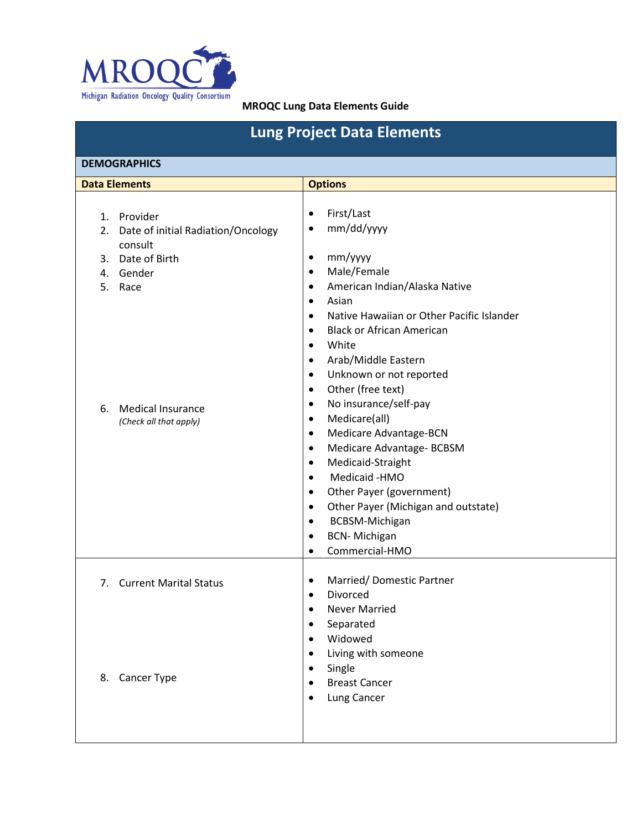

| <b>Lung Project Data Elements</b>                                                                                                                                                |                                                                                                                                                                                                                                                                                                                                                                                                                                                                                                                                                                                                                                                                                                                                                                                                                                              |  |  |
|----------------------------------------------------------------------------------------------------------------------------------------------------------------------------------|----------------------------------------------------------------------------------------------------------------------------------------------------------------------------------------------------------------------------------------------------------------------------------------------------------------------------------------------------------------------------------------------------------------------------------------------------------------------------------------------------------------------------------------------------------------------------------------------------------------------------------------------------------------------------------------------------------------------------------------------------------------------------------------------------------------------------------------------|--|--|
| <b>DEMOGRAPHICS</b>                                                                                                                                                              |                                                                                                                                                                                                                                                                                                                                                                                                                                                                                                                                                                                                                                                                                                                                                                                                                                              |  |  |
| <b>Data Elements</b>                                                                                                                                                             | <b>Options</b>                                                                                                                                                                                                                                                                                                                                                                                                                                                                                                                                                                                                                                                                                                                                                                                                                               |  |  |
| 1. Provider<br>Date of initial Radiation/Oncology<br>2.<br>consult<br>Date of Birth<br>3.<br>4. Gender<br>5.<br>Race<br><b>Medical Insurance</b><br>6.<br>(Check all that apply) | First/Last<br>$\bullet$<br>mm/dd/yyyy<br>٠<br>mm/yyyy<br>$\bullet$<br>Male/Female<br>$\bullet$<br>American Indian/Alaska Native<br>$\bullet$<br>Asian<br>$\bullet$<br>Native Hawaiian or Other Pacific Islander<br>$\bullet$<br><b>Black or African American</b><br>$\bullet$<br>White<br>$\bullet$<br>Arab/Middle Eastern<br>$\bullet$<br>Unknown or not reported<br>$\bullet$<br>Other (free text)<br>$\bullet$<br>No insurance/self-pay<br>$\bullet$<br>Medicare(all)<br>$\bullet$<br>Medicare Advantage-BCN<br>$\bullet$<br>Medicare Advantage- BCBSM<br>$\bullet$<br>Medicaid-Straight<br>$\bullet$<br>Medicaid -HMO<br>$\bullet$<br>Other Payer (government)<br>$\bullet$<br>Other Payer (Michigan and outstate)<br>$\bullet$<br><b>BCBSM-Michigan</b><br>$\bullet$<br><b>BCN-Michigan</b><br>$\bullet$<br>Commercial-HMO<br>$\bullet$ |  |  |
| <b>Current Marital Status</b><br>7.                                                                                                                                              | Married/Domestic Partner<br>$\bullet$<br>Divorced<br>$\bullet$<br><b>Never Married</b><br>Separated<br>$\bullet$                                                                                                                                                                                                                                                                                                                                                                                                                                                                                                                                                                                                                                                                                                                             |  |  |
| 8. Cancer Type                                                                                                                                                                   | Widowed<br>$\bullet$<br>Living with someone<br>$\bullet$<br>Single<br>$\bullet$<br><b>Breast Cancer</b><br>$\bullet$<br>Lung Cancer<br>$\bullet$                                                                                                                                                                                                                                                                                                                                                                                                                                                                                                                                                                                                                                                                                             |  |  |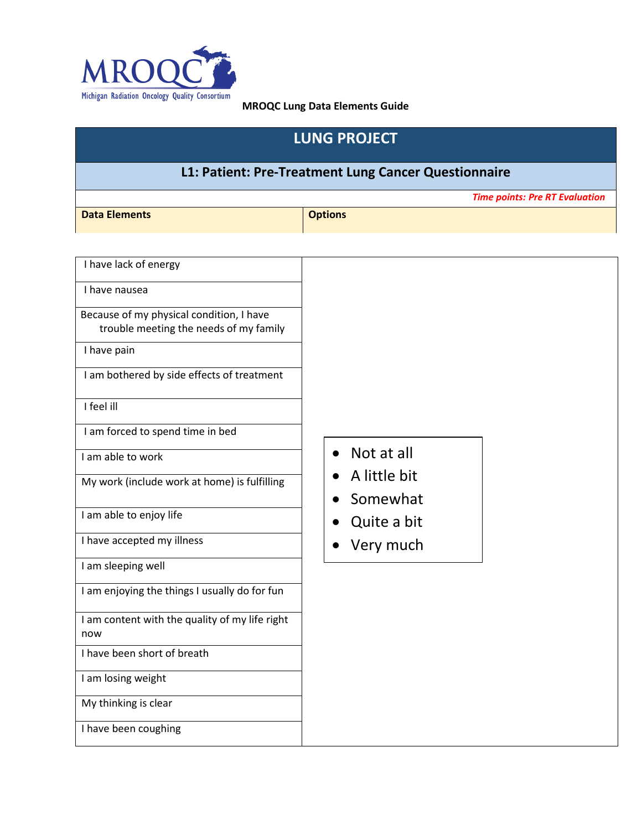

# **LUNG PROJECT**

# **L1: Patient: Pre-Treatment Lung Cancer Questionnaire**

*Time points: Pre RT Evaluation*

**Data Elements Container and Container Security Properties and Container Security Properties and Containers** 

| I have lack of energy                                                              |              |
|------------------------------------------------------------------------------------|--------------|
| I have nausea                                                                      |              |
| Because of my physical condition, I have<br>trouble meeting the needs of my family |              |
| I have pain                                                                        |              |
| I am bothered by side effects of treatment                                         |              |
| I feel ill                                                                         |              |
| I am forced to spend time in bed                                                   |              |
| I am able to work                                                                  | Not at all   |
| My work (include work at home) is fulfilling                                       | A little bit |
|                                                                                    | Somewhat     |
| I am able to enjoy life                                                            | Quite a bit  |
| I have accepted my illness                                                         | Very much    |
| I am sleeping well                                                                 |              |
| I am enjoying the things I usually do for fun                                      |              |
| I am content with the quality of my life right<br>now                              |              |
| I have been short of breath                                                        |              |
| I am losing weight                                                                 |              |
| My thinking is clear                                                               |              |
| I have been coughing                                                               |              |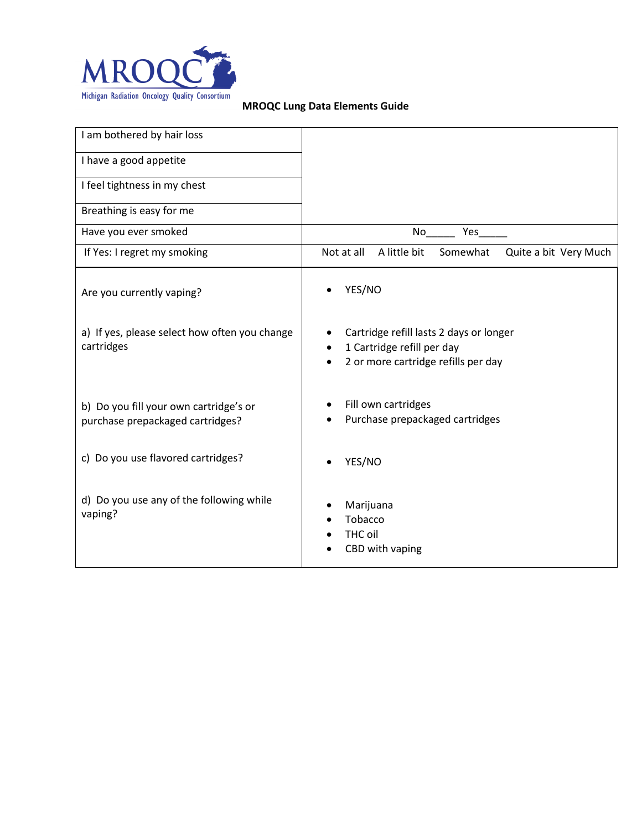

| I am bothered by hair loss                                                 |                                                                                                              |
|----------------------------------------------------------------------------|--------------------------------------------------------------------------------------------------------------|
| I have a good appetite                                                     |                                                                                                              |
| I feel tightness in my chest                                               |                                                                                                              |
| Breathing is easy for me                                                   |                                                                                                              |
| Have you ever smoked                                                       | No<br>Yes                                                                                                    |
| If Yes: I regret my smoking                                                | A little bit<br>Not at all<br>Somewhat<br>Quite a bit Very Much                                              |
| Are you currently vaping?                                                  | YES/NO                                                                                                       |
| a) If yes, please select how often you change<br>cartridges                | Cartridge refill lasts 2 days or longer<br>1 Cartridge refill per day<br>2 or more cartridge refills per day |
| b) Do you fill your own cartridge's or<br>purchase prepackaged cartridges? | Fill own cartridges<br>Purchase prepackaged cartridges                                                       |
| c) Do you use flavored cartridges?                                         | YES/NO                                                                                                       |
| d) Do you use any of the following while<br>vaping?                        | Marijuana<br>Tobacco<br>THC oil<br>CBD with vaping                                                           |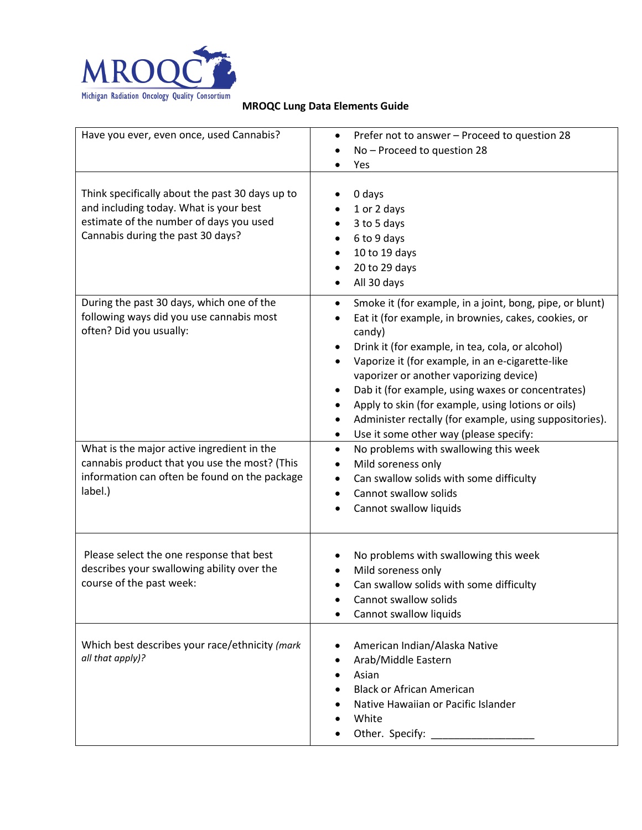

| Have you ever, even once, used Cannabis?                                                                                                                                  | Prefer not to answer - Proceed to question 28<br>$\bullet$<br>No - Proceed to question 28<br>Yes                                                                                                                                                                                                                                                                                                                                                                                                                                          |
|---------------------------------------------------------------------------------------------------------------------------------------------------------------------------|-------------------------------------------------------------------------------------------------------------------------------------------------------------------------------------------------------------------------------------------------------------------------------------------------------------------------------------------------------------------------------------------------------------------------------------------------------------------------------------------------------------------------------------------|
| Think specifically about the past 30 days up to<br>and including today. What is your best<br>estimate of the number of days you used<br>Cannabis during the past 30 days? | 0 days<br>1 or 2 days<br>3 to 5 days<br>$\bullet$<br>6 to 9 days<br>10 to 19 days<br>20 to 29 days<br>$\bullet$<br>All 30 days                                                                                                                                                                                                                                                                                                                                                                                                            |
| During the past 30 days, which one of the<br>following ways did you use cannabis most<br>often? Did you usually:                                                          | Smoke it (for example, in a joint, bong, pipe, or blunt)<br>$\bullet$<br>Eat it (for example, in brownies, cakes, cookies, or<br>$\bullet$<br>candy)<br>Drink it (for example, in tea, cola, or alcohol)<br>Vaporize it (for example, in an e-cigarette-like<br>vaporizer or another vaporizing device)<br>Dab it (for example, using waxes or concentrates)<br>٠<br>Apply to skin (for example, using lotions or oils)<br>Administer rectally (for example, using suppositories).<br>Use it some other way (please specify:<br>$\bullet$ |
| What is the major active ingredient in the<br>cannabis product that you use the most? (This<br>information can often be found on the package<br>label.)                   | No problems with swallowing this week<br>$\bullet$<br>Mild soreness only<br>$\bullet$<br>Can swallow solids with some difficulty<br>٠<br>Cannot swallow solids<br>$\bullet$<br>Cannot swallow liquids                                                                                                                                                                                                                                                                                                                                     |
| Please select the one response that best<br>describes your swallowing ability over the<br>course of the past week:                                                        | No problems with swallowing this week<br>Mild soreness only<br>Can swallow solids with some difficulty<br>$\bullet$<br>Cannot swallow solids<br>Cannot swallow liquids                                                                                                                                                                                                                                                                                                                                                                    |
| Which best describes your race/ethnicity (mark<br>all that apply)?                                                                                                        | American Indian/Alaska Native<br>Arab/Middle Eastern<br>$\bullet$<br>Asian<br><b>Black or African American</b><br>Native Hawaiian or Pacific Islander<br>White<br>Other. Specify:                                                                                                                                                                                                                                                                                                                                                         |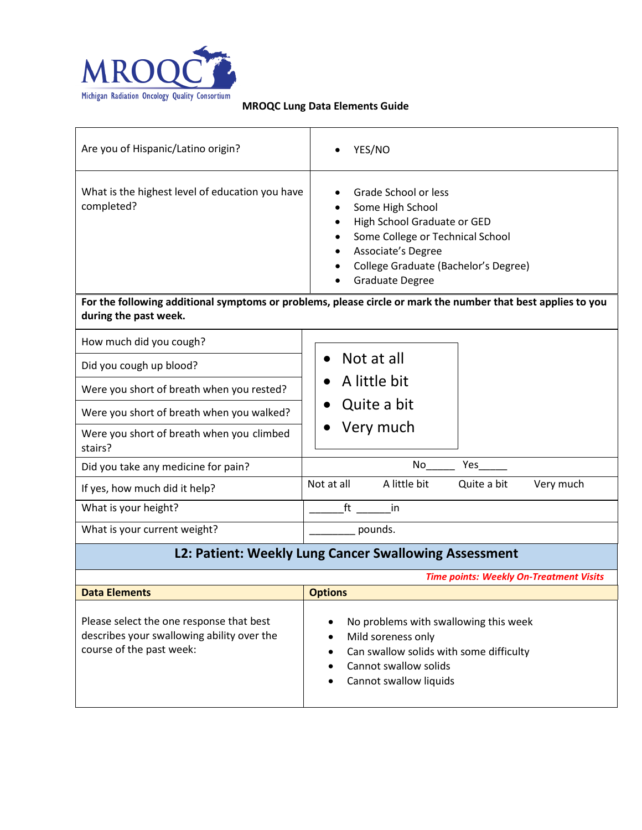

| Are you of Hispanic/Latino origin?                                                                                 | YES/NO                                                                                                                                                                                                                                                                                                              |  |
|--------------------------------------------------------------------------------------------------------------------|---------------------------------------------------------------------------------------------------------------------------------------------------------------------------------------------------------------------------------------------------------------------------------------------------------------------|--|
| What is the highest level of education you have<br>completed?<br>during the past week.                             | Grade School or less<br>Some High School<br>High School Graduate or GED<br>Some College or Technical School<br>Associate's Degree<br>College Graduate (Bachelor's Degree)<br><b>Graduate Degree</b><br>For the following additional symptoms or problems, please circle or mark the number that best applies to you |  |
| How much did you cough?                                                                                            |                                                                                                                                                                                                                                                                                                                     |  |
| Did you cough up blood?                                                                                            | Not at all<br>$\bullet$                                                                                                                                                                                                                                                                                             |  |
| Were you short of breath when you rested?                                                                          | A little bit                                                                                                                                                                                                                                                                                                        |  |
| Were you short of breath when you walked?                                                                          | Quite a bit                                                                                                                                                                                                                                                                                                         |  |
| Were you short of breath when you climbed<br>stairs?                                                               | Very much                                                                                                                                                                                                                                                                                                           |  |
| Did you take any medicine for pain?                                                                                | No<br>Yes                                                                                                                                                                                                                                                                                                           |  |
| If yes, how much did it help?                                                                                      | Not at all<br>A little bit<br>Quite a bit<br>Very much                                                                                                                                                                                                                                                              |  |
| What is your height?                                                                                               | ft<br>-in                                                                                                                                                                                                                                                                                                           |  |
| What is your current weight?                                                                                       | pounds.                                                                                                                                                                                                                                                                                                             |  |
| L2: Patient: Weekly Lung Cancer Swallowing Assessment                                                              |                                                                                                                                                                                                                                                                                                                     |  |
| <b>Time points: Weekly On-Treatment Visits</b>                                                                     |                                                                                                                                                                                                                                                                                                                     |  |
| <b>Data Elements</b>                                                                                               | <b>Options</b>                                                                                                                                                                                                                                                                                                      |  |
| Please select the one response that best<br>describes your swallowing ability over the<br>course of the past week: | No problems with swallowing this week<br>Mild soreness only<br>Can swallow solids with some difficulty<br>٠<br>Cannot swallow solids<br>$\bullet$<br>Cannot swallow liquids                                                                                                                                         |  |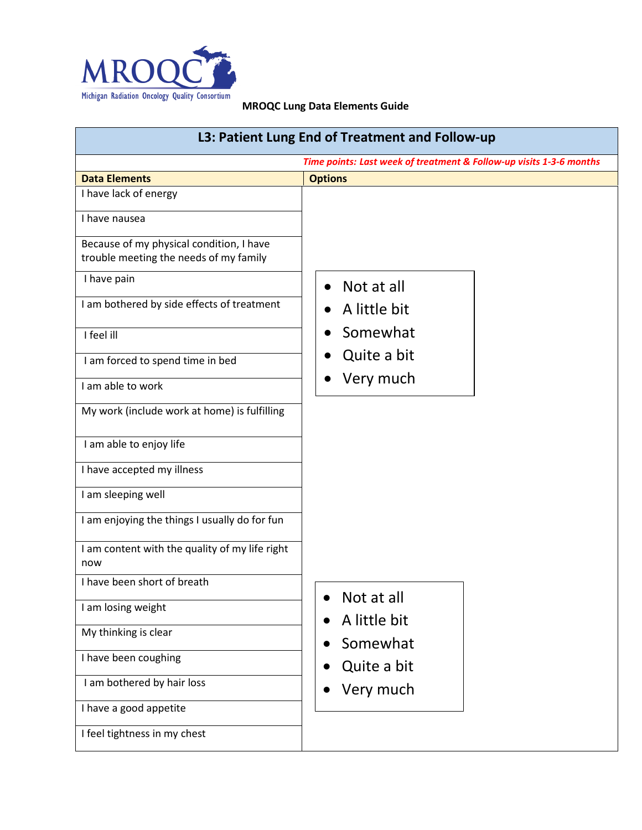

| L3: Patient Lung End of Treatment and Follow-up                                    |                |  |
|------------------------------------------------------------------------------------|----------------|--|
| Time points: Last week of treatment & Follow-up visits 1-3-6 months                |                |  |
| <b>Data Elements</b>                                                               | <b>Options</b> |  |
| I have lack of energy                                                              |                |  |
| I have nausea                                                                      |                |  |
| Because of my physical condition, I have<br>trouble meeting the needs of my family |                |  |
| I have pain                                                                        | Not at all     |  |
| I am bothered by side effects of treatment                                         | A little bit   |  |
| I feel ill                                                                         | Somewhat       |  |
| I am forced to spend time in bed                                                   | Quite a bit    |  |
| I am able to work                                                                  | Very much      |  |
| My work (include work at home) is fulfilling                                       |                |  |
| I am able to enjoy life                                                            |                |  |
| I have accepted my illness                                                         |                |  |
| I am sleeping well                                                                 |                |  |
| I am enjoying the things I usually do for fun                                      |                |  |
| I am content with the quality of my life right<br>now                              |                |  |
| I have been short of breath                                                        | Not at all     |  |
| I am losing weight                                                                 | A little bit   |  |
| My thinking is clear                                                               | Somewhat       |  |
| I have been coughing                                                               | Quite a bit    |  |
| I am bothered by hair loss                                                         | Very much      |  |
| I have a good appetite                                                             |                |  |
| I feel tightness in my chest                                                       |                |  |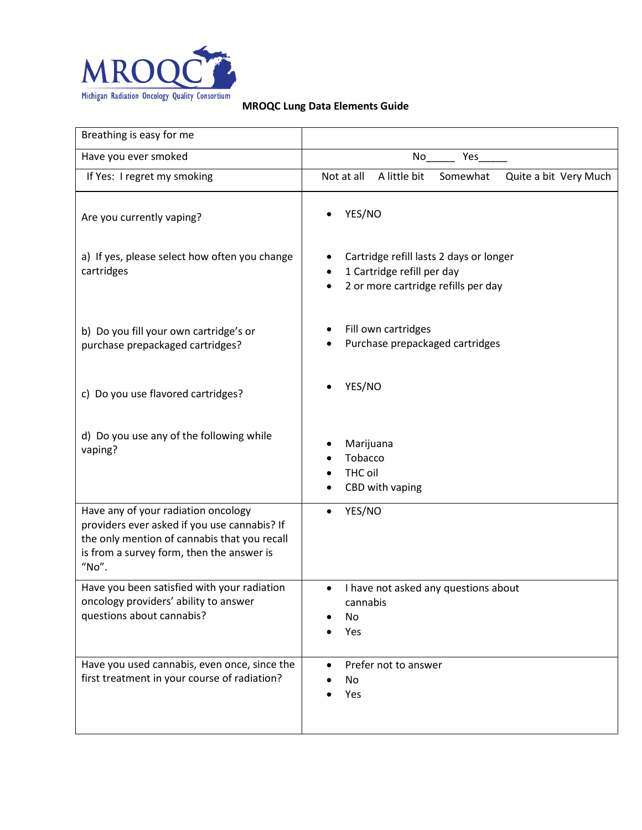

| Breathing is easy for me                                                                                                                                                                  |                                                                                                              |
|-------------------------------------------------------------------------------------------------------------------------------------------------------------------------------------------|--------------------------------------------------------------------------------------------------------------|
| Have you ever smoked                                                                                                                                                                      | No<br>Yes                                                                                                    |
| If Yes: I regret my smoking                                                                                                                                                               | A little bit<br>Not at all<br>Somewhat<br>Quite a bit Very Much                                              |
| Are you currently vaping?                                                                                                                                                                 | YES/NO                                                                                                       |
| a) If yes, please select how often you change<br>cartridges                                                                                                                               | Cartridge refill lasts 2 days or longer<br>1 Cartridge refill per day<br>2 or more cartridge refills per day |
| b) Do you fill your own cartridge's or<br>purchase prepackaged cartridges?                                                                                                                | Fill own cartridges<br>Purchase prepackaged cartridges                                                       |
| c) Do you use flavored cartridges?                                                                                                                                                        | YES/NO                                                                                                       |
| d) Do you use any of the following while<br>vaping?                                                                                                                                       | Marijuana<br>Tobacco<br>THC oil<br>CBD with vaping                                                           |
| Have any of your radiation oncology<br>providers ever asked if you use cannabis? If<br>the only mention of cannabis that you recall<br>is from a survey form, then the answer is<br>"No". | YES/NO                                                                                                       |
| Have you been satisfied with your radiation<br>oncology providers' ability to answer<br>questions about cannabis?                                                                         | I have not asked any questions about<br>$\bullet$<br>cannabis<br>No<br>Yes                                   |
| Have you used cannabis, even once, since the<br>first treatment in your course of radiation?                                                                                              | Prefer not to answer<br>$\bullet$<br>No<br>Yes                                                               |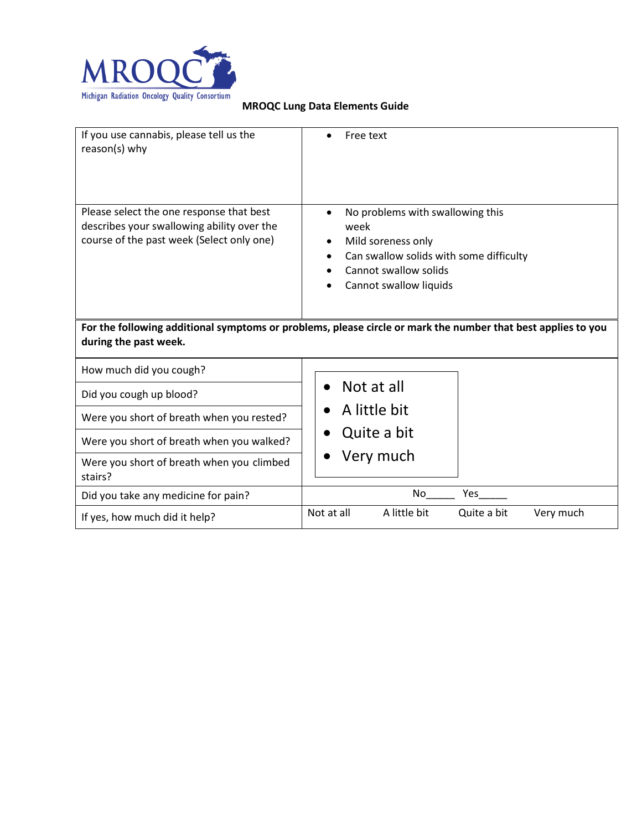

| If you use cannabis, please tell us the<br>reason(s) why                                                                              | Free text                                                                                                                                                    |  |  |
|---------------------------------------------------------------------------------------------------------------------------------------|--------------------------------------------------------------------------------------------------------------------------------------------------------------|--|--|
| Please select the one response that best<br>describes your swallowing ability over the<br>course of the past week (Select only one)   | No problems with swallowing this<br>week<br>Mild soreness only<br>Can swallow solids with some difficulty<br>Cannot swallow solids<br>Cannot swallow liquids |  |  |
| For the following additional symptoms or problems, please circle or mark the number that best applies to you<br>during the past week. |                                                                                                                                                              |  |  |
| How much did you cough?                                                                                                               |                                                                                                                                                              |  |  |
| Did you cough up blood?                                                                                                               | Not at all                                                                                                                                                   |  |  |
| Were you short of breath when you rested?                                                                                             | A little bit                                                                                                                                                 |  |  |
| Were you short of breath when you walked?                                                                                             | Quite a bit                                                                                                                                                  |  |  |
| Were you short of breath when you climbed<br>stairs?                                                                                  | Very much                                                                                                                                                    |  |  |
| Did you take any medicine for pain?                                                                                                   | No<br>Yes                                                                                                                                                    |  |  |
| If yes, how much did it help?                                                                                                         | Not at all<br>A little bit<br>Very much<br>Quite a bit                                                                                                       |  |  |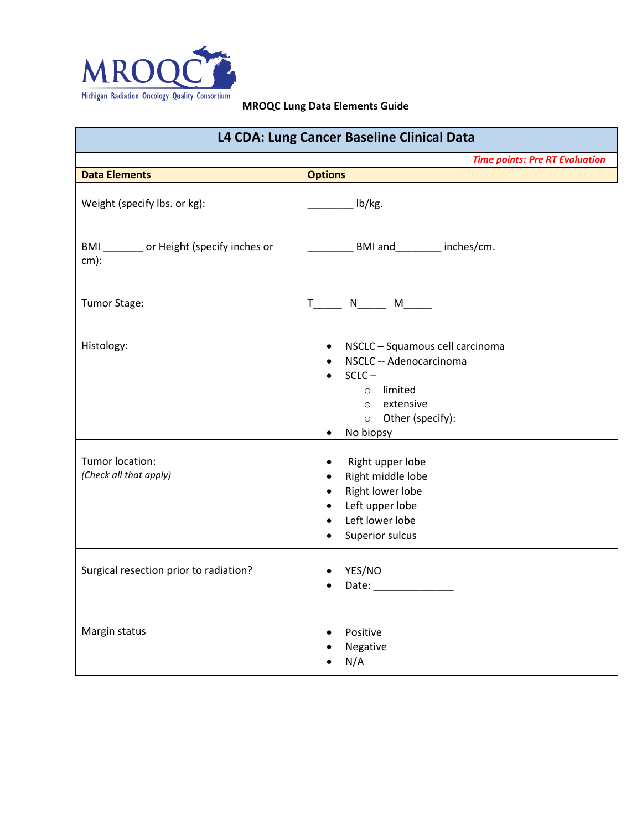

| L4 CDA: Lung Cancer Baseline Clinical Data          |                                                                                                                                                                                |  |
|-----------------------------------------------------|--------------------------------------------------------------------------------------------------------------------------------------------------------------------------------|--|
| <b>Time points: Pre RT Evaluation</b>               |                                                                                                                                                                                |  |
| <b>Data Elements</b>                                | <b>Options</b>                                                                                                                                                                 |  |
| Weight (specify lbs. or kg):                        | $\qquad$ lb/kg.                                                                                                                                                                |  |
| BMI _______ or Height (specify inches or<br>$cm)$ : | BMI and ________ inches/cm.                                                                                                                                                    |  |
| Tumor Stage:                                        |                                                                                                                                                                                |  |
| Histology:                                          | • NSCLC - Squamous cell carcinoma<br>NSCLC -- Adenocarcinoma<br>$\bullet$<br>$SCLC -$<br>$\bullet$<br>o limited<br>o extensive<br>o Other (specify):<br>No biopsy<br>$\bullet$ |  |
| Tumor location:<br>(Check all that apply)           | Right upper lobe<br>$\bullet$<br>Right middle lobe<br>$\bullet$<br>Right lower lobe<br>$\bullet$<br>• Left upper lobe<br>Left lower lobe<br>$\bullet$<br>Superior sulcus       |  |
| Surgical resection prior to radiation?              | YES/NO<br>$\bullet$                                                                                                                                                            |  |
| Margin status                                       | Positive<br>Negative<br>N/A                                                                                                                                                    |  |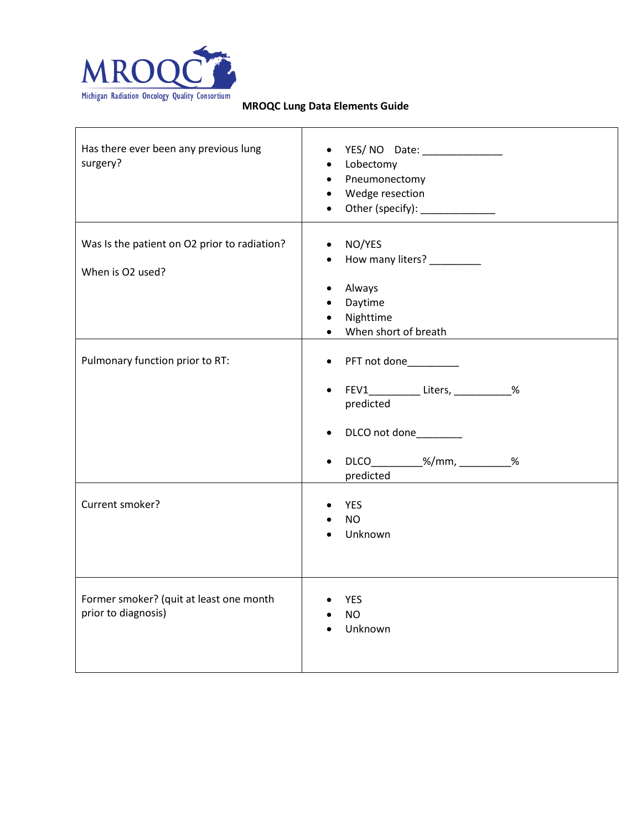

| Has there ever been any previous lung<br>surgery?                | YES/ NO Date: _______________<br>$\bullet$<br>• Lobectomy<br>• Pneumonectomy<br>• Wedge resection<br>• Other (specify): _____________                                                 |
|------------------------------------------------------------------|---------------------------------------------------------------------------------------------------------------------------------------------------------------------------------------|
| Was Is the patient on O2 prior to radiation?<br>When is O2 used? | • NO/YES<br>How many liters? _________<br>$\bullet$<br>Always<br>$\bullet$<br>Daytime<br>$\bullet$<br>Nighttime<br>$\bullet$<br>• When short of breath                                |
| Pulmonary function prior to RT:                                  | • PFT not done_________<br>• FEV1_____________ Liters, ____________%<br>predicted<br>DLCO not done_________<br>$\bullet$<br>DLCO__________%/mm, __________%<br>$\bullet$<br>predicted |
| Current smoker?                                                  | <b>YES</b><br><b>NO</b><br>Unknown                                                                                                                                                    |
| Former smoker? (quit at least one month<br>prior to diagnosis)   | YES<br><b>NO</b><br>Unknown                                                                                                                                                           |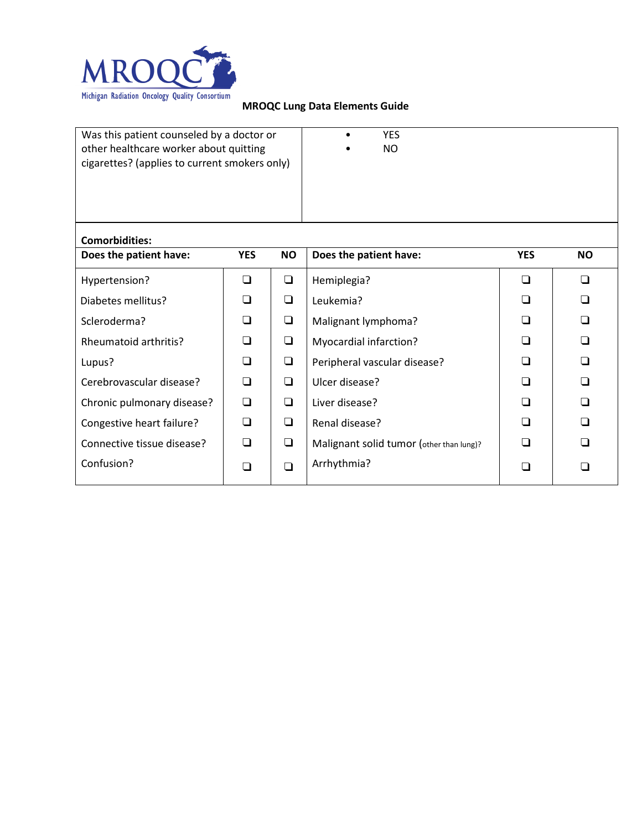

| Was this patient counseled by a doctor or<br>other healthcare worker about quitting<br>cigarettes? (applies to current smokers only) |            |           | <b>YES</b><br>NO.                        |            |           |
|--------------------------------------------------------------------------------------------------------------------------------------|------------|-----------|------------------------------------------|------------|-----------|
| <b>Comorbidities:</b><br>Does the patient have:                                                                                      | <b>YES</b> | <b>NO</b> | Does the patient have:                   | <b>YES</b> | <b>NO</b> |
|                                                                                                                                      | ❏          |           |                                          | $\Box$     | $\Box$    |
| Hypertension?                                                                                                                        |            | $\Box$    | Hemiplegia?                              |            |           |
| Diabetes mellitus?                                                                                                                   | ❏          | ❏         | Leukemia?                                | ◻          | ❏         |
| Scleroderma?                                                                                                                         | $\Box$     | ❏         | Malignant lymphoma?                      | □          | $\Box$    |
| Rheumatoid arthritis?                                                                                                                | ∩          | $\Box$    | Myocardial infarction?                   | ∩          | ∩         |
| Lupus?                                                                                                                               | $\Box$     | ❏         | Peripheral vascular disease?             | ∩          | ❏         |
| Cerebrovascular disease?                                                                                                             | $\Box$     | $\Box$    | Ulcer disease?                           | ∩          | $\Box$    |
| Chronic pulmonary disease?                                                                                                           | □          | ❏         | Liver disease?                           | ∩          | $\Box$    |
| Congestive heart failure?                                                                                                            | □          | $\Box$    | Renal disease?                           | □          | ◻         |
| Connective tissue disease?                                                                                                           | □          | ❏         | Malignant solid tumor (other than lung)? | □          | ❏         |
| Confusion?                                                                                                                           | □          | $\Box$    | Arrhythmia?                              | □          | ❏         |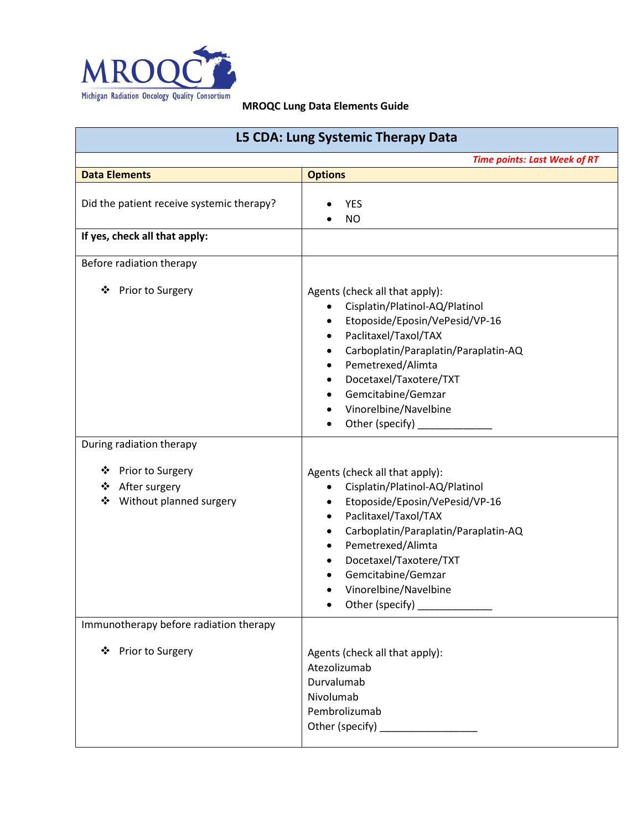

| L5 CDA: Lung Systemic Therapy Data                                          |                                                                                                                                                                                                                                                                                                                                                   |  |
|-----------------------------------------------------------------------------|---------------------------------------------------------------------------------------------------------------------------------------------------------------------------------------------------------------------------------------------------------------------------------------------------------------------------------------------------|--|
|                                                                             | <b>Time points: Last Week of RT</b>                                                                                                                                                                                                                                                                                                               |  |
| <b>Data Elements</b>                                                        | <b>Options</b>                                                                                                                                                                                                                                                                                                                                    |  |
| Did the patient receive systemic therapy?<br>If yes, check all that apply:  | <b>YES</b><br><b>NO</b>                                                                                                                                                                                                                                                                                                                           |  |
| Before radiation therapy                                                    |                                                                                                                                                                                                                                                                                                                                                   |  |
| Prior to Surgery<br>❖                                                       | Agents (check all that apply):<br>Cisplatin/Platinol-AQ/Platinol<br>Etoposide/Eposin/VePesid/VP-16<br>Paclitaxel/Taxol/TAX<br>$\bullet$<br>Carboplatin/Paraplatin/Paraplatin-AQ<br>Pemetrexed/Alimta<br>٠<br>Docetaxel/Taxotere/TXT<br>٠<br>Gemcitabine/Gemzar<br>Vinorelbine/Navelbine<br>Other (specify) _                                      |  |
| During radiation therapy                                                    |                                                                                                                                                                                                                                                                                                                                                   |  |
| Prior to Surgery<br>❖<br>❖<br>After surgery<br>Without planned surgery<br>❖ | Agents (check all that apply):<br>Cisplatin/Platinol-AQ/Platinol<br>$\bullet$<br>Etoposide/Eposin/VePesid/VP-16<br>$\bullet$<br>Paclitaxel/Taxol/TAX<br>٠<br>Carboplatin/Paraplatin/Paraplatin-AQ<br>٠<br>Pemetrexed/Alimta<br>$\bullet$<br>Docetaxel/Taxotere/TXT<br>Gemcitabine/Gemzar<br>Vinorelbine/Navelbine<br>Other (specify) ____________ |  |
| Immunotherapy before radiation therapy<br>❖ Prior to Surgery                | Agents (check all that apply):<br>Atezolizumab<br>Durvalumab<br>Nivolumab<br>Pembrolizumab<br>Other (specify) ________________                                                                                                                                                                                                                    |  |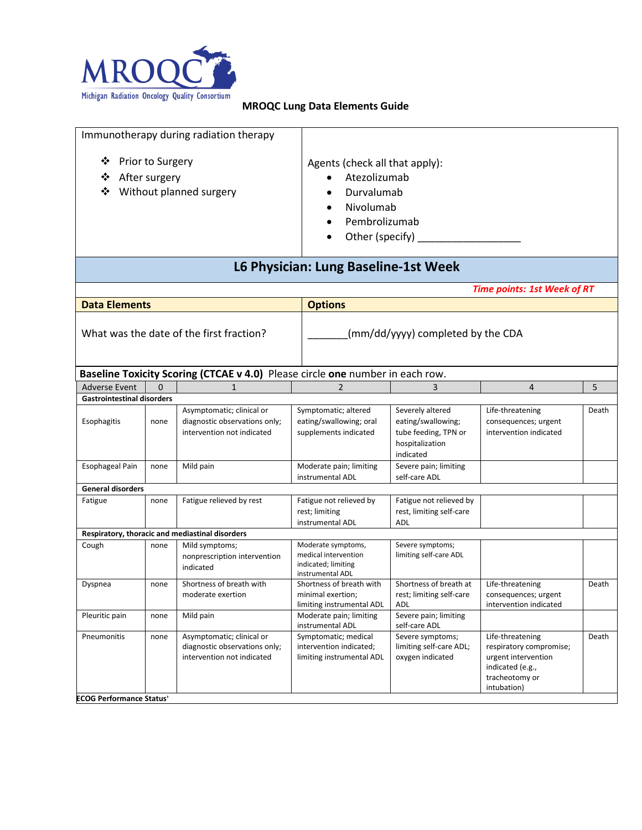

| Immunotherapy during radiation therapy                                             |                                         |                                                                                          |  |                                                                                                                                 |                                                                                                |                                                                                                                         |       |
|------------------------------------------------------------------------------------|-----------------------------------------|------------------------------------------------------------------------------------------|--|---------------------------------------------------------------------------------------------------------------------------------|------------------------------------------------------------------------------------------------|-------------------------------------------------------------------------------------------------------------------------|-------|
| ❖<br><b>Prior to Surgery</b><br>❖<br>After surgery<br>❖<br>Without planned surgery |                                         |                                                                                          |  | Agents (check all that apply):<br>Atezolizumab<br>Durvalumab<br>Nivolumab<br>٠<br>Pembrolizumab<br>$\bullet$<br>Other (specify) |                                                                                                |                                                                                                                         |       |
|                                                                                    |                                         |                                                                                          |  | L6 Physician: Lung Baseline-1st Week                                                                                            |                                                                                                |                                                                                                                         |       |
|                                                                                    |                                         |                                                                                          |  |                                                                                                                                 |                                                                                                | <b>Time points: 1st Week of RT</b>                                                                                      |       |
| <b>Data Elements</b>                                                               |                                         |                                                                                          |  | <b>Options</b>                                                                                                                  |                                                                                                |                                                                                                                         |       |
| What was the date of the first fraction?                                           |                                         |                                                                                          |  |                                                                                                                                 | (mm/dd/yyyy) completed by the CDA                                                              |                                                                                                                         |       |
| Baseline Toxicity Scoring (CTCAE v 4.0) Please circle one number in each row.      |                                         |                                                                                          |  |                                                                                                                                 |                                                                                                |                                                                                                                         |       |
| <b>Adverse Event</b><br><b>Gastrointestinal disorders</b>                          | $\Omega$                                | 1                                                                                        |  | $\overline{2}$                                                                                                                  | 3                                                                                              | $\overline{4}$                                                                                                          | 5     |
| Esophagitis                                                                        | none                                    | Asymptomatic; clinical or<br>diagnostic observations only;<br>intervention not indicated |  | Symptomatic; altered<br>eating/swallowing; oral<br>supplements indicated                                                        | Severely altered<br>eating/swallowing;<br>tube feeding, TPN or<br>hospitalization<br>indicated | Life-threatening<br>consequences; urgent<br>intervention indicated                                                      | Death |
| <b>Esophageal Pain</b>                                                             | none                                    | Mild pain                                                                                |  | Moderate pain; limiting<br>instrumental ADL                                                                                     | Severe pain; limiting<br>self-care ADL                                                         |                                                                                                                         |       |
| <b>General disorders</b>                                                           |                                         |                                                                                          |  |                                                                                                                                 |                                                                                                |                                                                                                                         |       |
| Fatigue                                                                            | none                                    | Fatigue relieved by rest                                                                 |  | Fatigue not relieved by<br>rest; limiting<br>instrumental ADL                                                                   | Fatigue not relieved by<br>rest, limiting self-care<br>ADL                                     |                                                                                                                         |       |
|                                                                                    |                                         | Respiratory, thoracic and mediastinal disorders                                          |  |                                                                                                                                 |                                                                                                |                                                                                                                         |       |
| Cough                                                                              | none                                    | Mild symptoms;<br>nonprescription intervention<br>indicated                              |  | Moderate symptoms,<br>medical intervention<br>indicated; limiting<br>instrumental ADL                                           | Severe symptoms;<br>limiting self-care ADL                                                     |                                                                                                                         |       |
| Dyspnea                                                                            | none                                    | Shortness of breath with<br>moderate exertion                                            |  | Shortness of breath with<br>minimal exertion;<br>limiting instrumental ADL                                                      | Shortness of breath at<br>rest; limiting self-care<br>ADL                                      | Life-threatening<br>consequences; urgent<br>intervention indicated                                                      | Death |
| Pleuritic pain                                                                     | none                                    | Mild pain                                                                                |  | Moderate pain; limiting<br>instrumental ADL                                                                                     | Severe pain; limiting<br>self-care ADL                                                         |                                                                                                                         |       |
| Pneumonitis                                                                        | none<br><b>ECOG Performance Status'</b> | Asymptomatic; clinical or<br>diagnostic observations only;<br>intervention not indicated |  | Symptomatic; medical<br>intervention indicated;<br>limiting instrumental ADL                                                    | Severe symptoms;<br>limiting self-care ADL;<br>oxygen indicated                                | Life-threatening<br>respiratory compromise;<br>urgent intervention<br>indicated (e.g.,<br>tracheotomy or<br>intubation) | Death |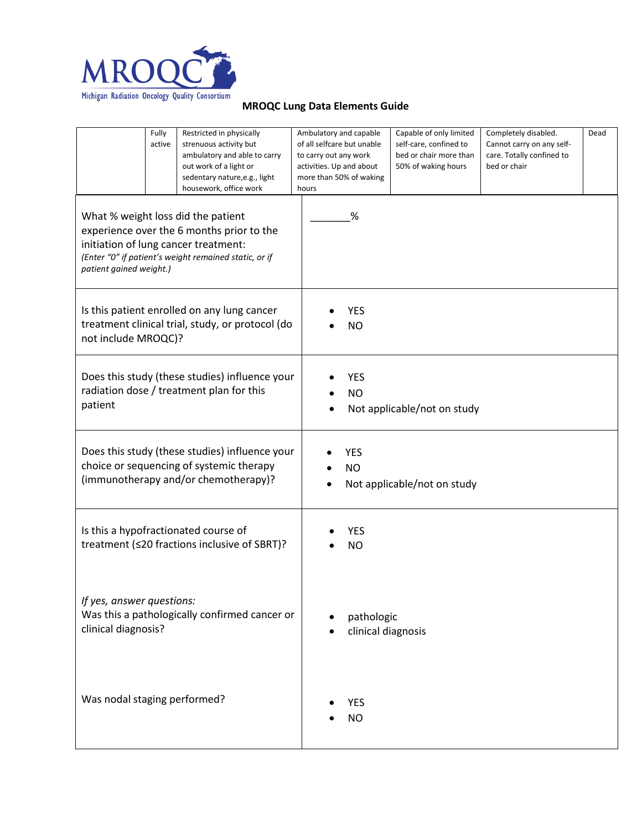

|                                                                                                                                                                                                             | Fully<br>active | Restricted in physically<br>strenuous activity but<br>ambulatory and able to carry<br>out work of a light or<br>sedentary nature, e.g., light<br>housework, office work | to carry out any work<br>hours | Ambulatory and capable<br>of all selfcare but unable<br>activities. Up and about<br>more than 50% of waking | Capable of only limited<br>self-care, confined to<br>bed or chair more than<br>50% of waking hours | Completely disabled.<br>Cannot carry on any self-<br>care. Totally confined to<br>bed or chair | Dead |  |
|-------------------------------------------------------------------------------------------------------------------------------------------------------------------------------------------------------------|-----------------|-------------------------------------------------------------------------------------------------------------------------------------------------------------------------|--------------------------------|-------------------------------------------------------------------------------------------------------------|----------------------------------------------------------------------------------------------------|------------------------------------------------------------------------------------------------|------|--|
| What % weight loss did the patient<br>experience over the 6 months prior to the<br>initiation of lung cancer treatment:<br>(Enter "0" if patient's weight remained static, or if<br>patient gained weight.) |                 |                                                                                                                                                                         |                                | %                                                                                                           |                                                                                                    |                                                                                                |      |  |
| Is this patient enrolled on any lung cancer<br>treatment clinical trial, study, or protocol (do<br>not include MROQC)?                                                                                      |                 |                                                                                                                                                                         |                                | YES<br><b>NO</b>                                                                                            |                                                                                                    |                                                                                                |      |  |
| Does this study (these studies) influence your<br>radiation dose / treatment plan for this<br>patient                                                                                                       |                 |                                                                                                                                                                         |                                | <b>YES</b><br><b>NO</b><br>Not applicable/not on study                                                      |                                                                                                    |                                                                                                |      |  |
| Does this study (these studies) influence your<br>choice or sequencing of systemic therapy<br>(immunotherapy and/or chemotherapy)?                                                                          |                 |                                                                                                                                                                         |                                | <b>YES</b><br><b>NO</b>                                                                                     | Not applicable/not on study                                                                        |                                                                                                |      |  |
| Is this a hypofractionated course of<br>treatment (≤20 fractions inclusive of SBRT)?                                                                                                                        |                 |                                                                                                                                                                         |                                | YES<br><b>NO</b>                                                                                            |                                                                                                    |                                                                                                |      |  |
| If yes, answer questions:<br>Was this a pathologically confirmed cancer or<br>clinical diagnosis?                                                                                                           |                 |                                                                                                                                                                         |                                | pathologic<br>clinical diagnosis                                                                            |                                                                                                    |                                                                                                |      |  |
| Was nodal staging performed?                                                                                                                                                                                |                 |                                                                                                                                                                         |                                | <b>YES</b><br><b>NO</b>                                                                                     |                                                                                                    |                                                                                                |      |  |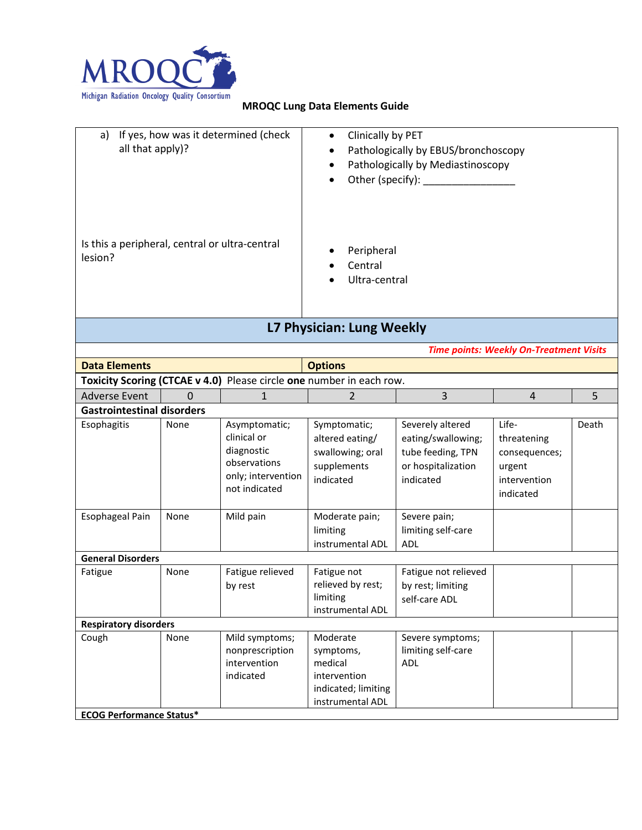

| If yes, how was it determined (check<br>a)<br>all that apply)? | Clinically by PET<br>$\bullet$<br>Pathologically by EBUS/bronchoscopy<br>$\bullet$<br>Pathologically by Mediastinoscopy<br>$\bullet$<br>Other (specify): _________<br>$\bullet$ |
|----------------------------------------------------------------|---------------------------------------------------------------------------------------------------------------------------------------------------------------------------------|
| Is this a peripheral, central or ultra-central<br>lesion?      | Peripheral<br>Central<br>$\bullet$<br>Ultra-central<br>$\bullet$                                                                                                                |

# **L7 Physician: Lung Weekly**

*Time points: Weekly On-Treatment Visits*

| <b>Data Elements</b>              |      |                                                                                                   | <b>Options</b>                                                                              |                                                                                                |                                                                              |       |  |
|-----------------------------------|------|---------------------------------------------------------------------------------------------------|---------------------------------------------------------------------------------------------|------------------------------------------------------------------------------------------------|------------------------------------------------------------------------------|-------|--|
|                                   |      |                                                                                                   | Toxicity Scoring (CTCAE v 4.0) Please circle one number in each row.                        |                                                                                                |                                                                              |       |  |
| <b>Adverse Event</b>              | 0    |                                                                                                   | 2                                                                                           | $\overline{3}$                                                                                 | $\overline{4}$                                                               | 5     |  |
| <b>Gastrointestinal disorders</b> |      |                                                                                                   |                                                                                             |                                                                                                |                                                                              |       |  |
| Esophagitis                       | None | Asymptomatic;<br>clinical or<br>diagnostic<br>observations<br>only; intervention<br>not indicated | Symptomatic;<br>altered eating/<br>swallowing; oral<br>supplements<br>indicated             | Severely altered<br>eating/swallowing;<br>tube feeding, TPN<br>or hospitalization<br>indicated | Life-<br>threatening<br>consequences;<br>urgent<br>intervention<br>indicated | Death |  |
| Esophageal Pain                   | None | Mild pain                                                                                         | Moderate pain;<br>limiting<br>instrumental ADL                                              | Severe pain;<br>limiting self-care<br><b>ADL</b>                                               |                                                                              |       |  |
| <b>General Disorders</b>          |      |                                                                                                   |                                                                                             |                                                                                                |                                                                              |       |  |
| Fatigue                           | None | Fatigue relieved<br>by rest                                                                       | Fatigue not<br>relieved by rest;<br>limiting<br>instrumental ADL                            | Fatigue not relieved<br>by rest; limiting<br>self-care ADL                                     |                                                                              |       |  |
| <b>Respiratory disorders</b>      |      |                                                                                                   |                                                                                             |                                                                                                |                                                                              |       |  |
| Cough                             | None | Mild symptoms;<br>nonprescription<br>intervention<br>indicated                                    | Moderate<br>symptoms,<br>medical<br>intervention<br>indicated; limiting<br>instrumental ADL | Severe symptoms;<br>limiting self-care<br><b>ADL</b>                                           |                                                                              |       |  |
| <b>ECOG Performance Status*</b>   |      |                                                                                                   |                                                                                             |                                                                                                |                                                                              |       |  |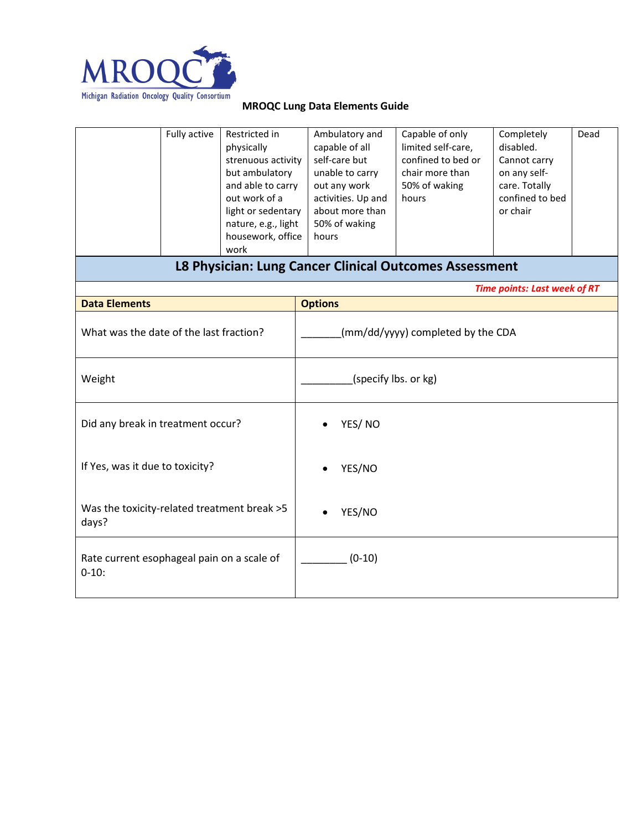

|                                                        | Fully active | Restricted in<br>physically<br>strenuous activity<br>but ambulatory<br>and able to carry<br>out work of a<br>light or sedentary<br>nature, e.g., light<br>housework, office<br>work | Ambulatory and<br>capable of all<br>self-care but<br>unable to carry<br>out any work<br>activities. Up and<br>about more than<br>50% of waking<br>hours | Capable of only<br>limited self-care,<br>confined to bed or<br>chair more than<br>50% of waking<br>hours | Completely<br>disabled.<br>Cannot carry<br>on any self-<br>care. Totally<br>confined to bed<br>or chair | Dead |  |
|--------------------------------------------------------|--------------|-------------------------------------------------------------------------------------------------------------------------------------------------------------------------------------|---------------------------------------------------------------------------------------------------------------------------------------------------------|----------------------------------------------------------------------------------------------------------|---------------------------------------------------------------------------------------------------------|------|--|
|                                                        |              |                                                                                                                                                                                     | L8 Physician: Lung Cancer Clinical Outcomes Assessment                                                                                                  |                                                                                                          |                                                                                                         |      |  |
| <b>Data Elements</b>                                   |              |                                                                                                                                                                                     | <b>Options</b>                                                                                                                                          |                                                                                                          | <b>Time points: Last week of RT</b>                                                                     |      |  |
| What was the date of the last fraction?                |              |                                                                                                                                                                                     | (mm/dd/yyyy) completed by the CDA                                                                                                                       |                                                                                                          |                                                                                                         |      |  |
| Weight                                                 |              |                                                                                                                                                                                     | (specify lbs. or kg)                                                                                                                                    |                                                                                                          |                                                                                                         |      |  |
| Did any break in treatment occur?                      |              |                                                                                                                                                                                     | YES/NO                                                                                                                                                  |                                                                                                          |                                                                                                         |      |  |
| If Yes, was it due to toxicity?                        |              |                                                                                                                                                                                     | YES/NO                                                                                                                                                  |                                                                                                          |                                                                                                         |      |  |
| Was the toxicity-related treatment break >5<br>days?   |              |                                                                                                                                                                                     | YES/NO                                                                                                                                                  |                                                                                                          |                                                                                                         |      |  |
| Rate current esophageal pain on a scale of<br>$0-10$ : |              |                                                                                                                                                                                     | $(0-10)$                                                                                                                                                |                                                                                                          |                                                                                                         |      |  |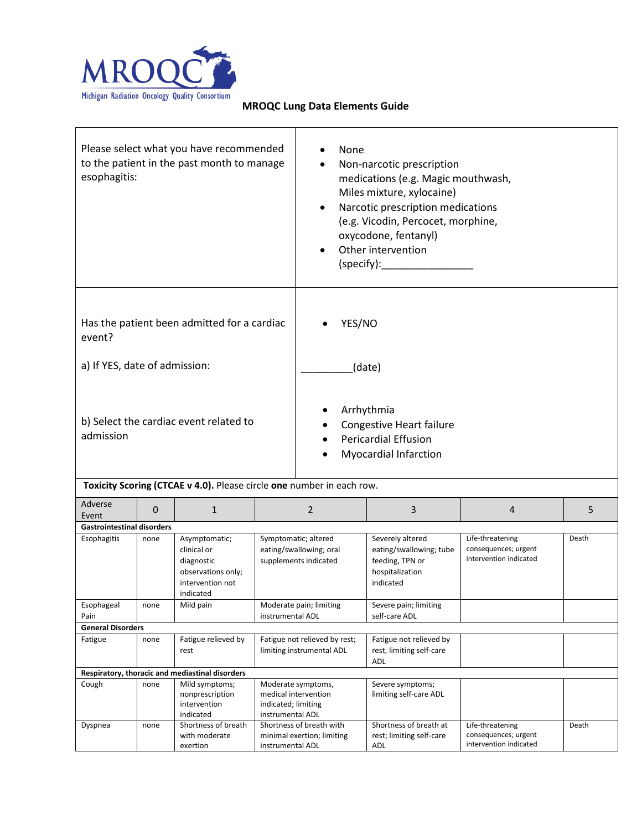

| Please select what you have recommended<br>to the patient in the past month to manage<br>esophagitis: |              |                                                                                                   | None                                                                     | Non-narcotic prescription<br>medications (e.g. Magic mouthwash,<br>Miles mixture, xylocaine)<br>Narcotic prescription medications<br>(e.g. Vicodin, Percocet, morphine,<br>oxycodone, fentanyl)<br>Other intervention<br>(specify): |                                                                                                |                                                                    |       |
|-------------------------------------------------------------------------------------------------------|--------------|---------------------------------------------------------------------------------------------------|--------------------------------------------------------------------------|-------------------------------------------------------------------------------------------------------------------------------------------------------------------------------------------------------------------------------------|------------------------------------------------------------------------------------------------|--------------------------------------------------------------------|-------|
| Has the patient been admitted for a cardiac<br>event?<br>a) If YES, date of admission:                |              |                                                                                                   | YES/NO                                                                   | (date)                                                                                                                                                                                                                              |                                                                                                |                                                                    |       |
|                                                                                                       |              |                                                                                                   |                                                                          |                                                                                                                                                                                                                                     |                                                                                                |                                                                    |       |
| b) Select the cardiac event related to<br>admission                                                   |              |                                                                                                   |                                                                          | Arrhythmia<br><b>Congestive Heart failure</b><br><b>Pericardial Effusion</b><br>Myocardial Infarction                                                                                                                               |                                                                                                |                                                                    |       |
|                                                                                                       |              | Toxicity Scoring (CTCAE v 4.0). Please circle one number in each row.                             |                                                                          |                                                                                                                                                                                                                                     |                                                                                                |                                                                    |       |
| Adverse<br>Event                                                                                      | $\mathbf{0}$ | $\mathbf{1}$                                                                                      |                                                                          | $\overline{2}$                                                                                                                                                                                                                      | 3                                                                                              | 4                                                                  | 5     |
| <b>Gastrointestinal disorders</b>                                                                     |              |                                                                                                   |                                                                          |                                                                                                                                                                                                                                     |                                                                                                |                                                                    |       |
| Esophagitis                                                                                           | none         | Asymptomatic;<br>clinical or<br>diagnostic<br>observations only;<br>intervention not<br>indicated | Symptomatic; altered<br>eating/swallowing; oral<br>supplements indicated |                                                                                                                                                                                                                                     | Severely altered<br>eating/swallowing; tube<br>feeding, TPN or<br>hospitalization<br>indicated | Life-threatening<br>consequences; urgent<br>intervention indicated | Death |
| Esophageal                                                                                            | none         | Mild pain                                                                                         |                                                                          | Moderate pain; limiting                                                                                                                                                                                                             | Severe pain; limiting                                                                          |                                                                    |       |
| Pain                                                                                                  |              |                                                                                                   | instrumental ADL                                                         |                                                                                                                                                                                                                                     | self-care ADL                                                                                  |                                                                    |       |
| <b>General Disorders</b><br>Fatigue                                                                   | none         | Fatigue relieved by                                                                               |                                                                          |                                                                                                                                                                                                                                     | Fatigue not relieved by                                                                        |                                                                    |       |
|                                                                                                       |              | rest                                                                                              | Fatigue not relieved by rest;<br>limiting instrumental ADL               |                                                                                                                                                                                                                                     | rest, limiting self-care<br>ADL                                                                |                                                                    |       |
|                                                                                                       |              | Respiratory, thoracic and mediastinal disorders                                                   |                                                                          |                                                                                                                                                                                                                                     |                                                                                                |                                                                    |       |
| Cough                                                                                                 | none         | Mild symptoms;<br>nonprescription<br>intervention<br>indicated                                    | indicated; limiting<br>instrumental ADL                                  | Moderate symptoms,<br>medical intervention                                                                                                                                                                                          | Severe symptoms;<br>limiting self-care ADL                                                     |                                                                    |       |
| Dyspnea                                                                                               | none         | Shortness of breath<br>with moderate<br>exertion                                                  | instrumental ADL                                                         | Shortness of breath with<br>minimal exertion; limiting                                                                                                                                                                              | Shortness of breath at<br>rest; limiting self-care<br>ADL                                      | Life-threatening<br>consequences; urgent<br>intervention indicated | Death |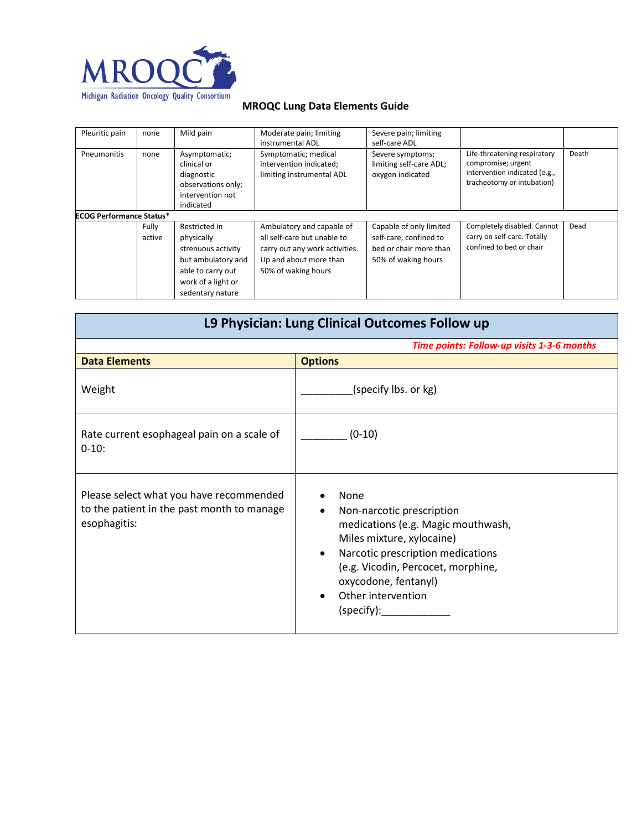

| Pleuritic pain                  | none            | Mild pain                                                                                                                              | Moderate pain; limiting<br>instrumental ADL                                                                                                 | Severe pain; limiting<br>self-care ADL                                                             |                                                                                                                   |       |
|---------------------------------|-----------------|----------------------------------------------------------------------------------------------------------------------------------------|---------------------------------------------------------------------------------------------------------------------------------------------|----------------------------------------------------------------------------------------------------|-------------------------------------------------------------------------------------------------------------------|-------|
| <b>Pneumonitis</b>              | none            | Asymptomatic;<br>clinical or<br>diagnostic<br>observations only;<br>intervention not<br>indicated                                      | Symptomatic; medical<br>intervention indicated;<br>limiting instrumental ADL                                                                | Severe symptoms;<br>limiting self-care ADL;<br>oxygen indicated                                    | Life-threatening respiratory<br>compromise; urgent<br>intervention indicated (e.g.,<br>tracheotomy or intubation) | Death |
| <b>ECOG Performance Status*</b> |                 |                                                                                                                                        |                                                                                                                                             |                                                                                                    |                                                                                                                   |       |
|                                 | Fully<br>active | Restricted in<br>physically<br>strenuous activity<br>but ambulatory and<br>able to carry out<br>work of a light or<br>sedentary nature | Ambulatory and capable of<br>all self-care but unable to<br>carry out any work activities.<br>Up and about more than<br>50% of waking hours | Capable of only limited<br>self-care, confined to<br>bed or chair more than<br>50% of waking hours | Completely disabled. Cannot<br>carry on self-care. Totally<br>confined to bed or chair                            | Dead  |

| L9 Physician: Lung Clinical Outcomes Follow up                                                        |                                                                                                                                                                                                                                                  |  |  |  |  |
|-------------------------------------------------------------------------------------------------------|--------------------------------------------------------------------------------------------------------------------------------------------------------------------------------------------------------------------------------------------------|--|--|--|--|
|                                                                                                       | Time points: Follow-up visits 1-3-6 months                                                                                                                                                                                                       |  |  |  |  |
| <b>Data Elements</b>                                                                                  | <b>Options</b>                                                                                                                                                                                                                                   |  |  |  |  |
| Weight                                                                                                | (specify lbs. or kg)                                                                                                                                                                                                                             |  |  |  |  |
| Rate current esophageal pain on a scale of<br>$0-10:$                                                 | $(0-10)$                                                                                                                                                                                                                                         |  |  |  |  |
| Please select what you have recommended<br>to the patient in the past month to manage<br>esophagitis: | None<br>Non-narcotic prescription<br>٠<br>medications (e.g. Magic mouthwash,<br>Miles mixture, xylocaine)<br>Narcotic prescription medications<br>(e.g. Vicodin, Percocet, morphine,<br>oxycodone, fentanyl)<br>Other intervention<br>(specify): |  |  |  |  |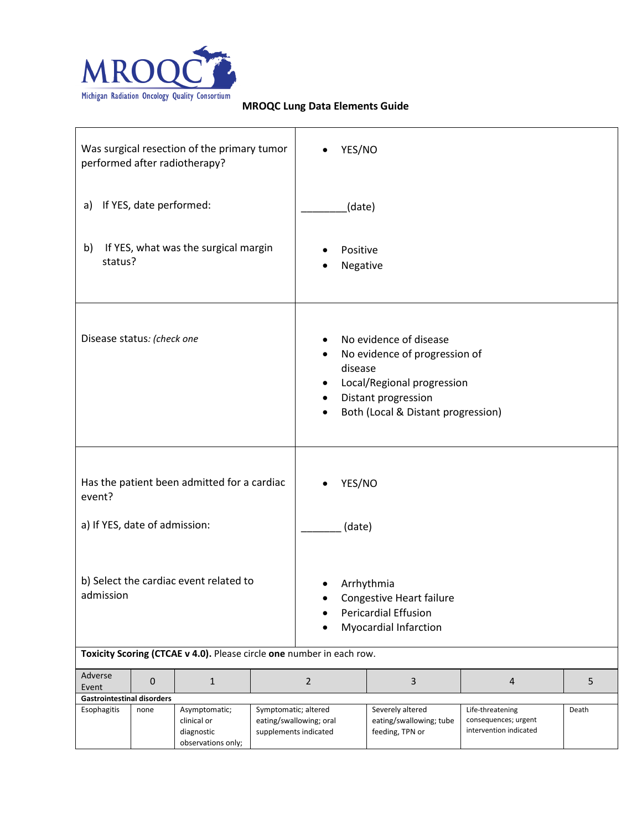

|                                                                                                                                               |                         | Was surgical resection of the primary tumor<br>performed after radiotherapy? |                                | YES/NO                                                                                                                                             |                                                                |                                                                    |       |
|-----------------------------------------------------------------------------------------------------------------------------------------------|-------------------------|------------------------------------------------------------------------------|--------------------------------|----------------------------------------------------------------------------------------------------------------------------------------------------|----------------------------------------------------------------|--------------------------------------------------------------------|-------|
| a)                                                                                                                                            | If YES, date performed: |                                                                              |                                | (date)                                                                                                                                             |                                                                |                                                                    |       |
| b)<br>status?                                                                                                                                 |                         | If YES, what was the surgical margin                                         |                                | Positive<br>Negative                                                                                                                               |                                                                |                                                                    |       |
| Disease status: (check one                                                                                                                    |                         |                                                                              | ٠<br>disease<br>٠<br>$\bullet$ | No evidence of disease<br>No evidence of progression of<br>Local/Regional progression<br>Distant progression<br>Both (Local & Distant progression) |                                                                |                                                                    |       |
| Has the patient been admitted for a cardiac<br>event?<br>a) If YES, date of admission:<br>b) Select the cardiac event related to<br>admission |                         |                                                                              | YES/NO<br>(date)               | Arrhythmia<br>Congestive Heart failure<br><b>Pericardial Effusion</b><br><b>Myocardial Infarction</b>                                              |                                                                |                                                                    |       |
|                                                                                                                                               |                         | Toxicity Scoring (CTCAE v 4.0). Please circle one number in each row.        |                                |                                                                                                                                                    |                                                                |                                                                    |       |
| Adverse<br>Event                                                                                                                              | 0                       | $\mathbf{1}$                                                                 |                                | $\overline{2}$                                                                                                                                     | 3                                                              | 4                                                                  | 5     |
| <b>Gastrointestinal disorders</b><br>Esophagitis                                                                                              | none                    | Asymptomatic;<br>clinical or<br>diagnostic<br>observations only;             | Symptomatic; altered           | eating/swallowing; oral<br>supplements indicated                                                                                                   | Severely altered<br>eating/swallowing; tube<br>feeding, TPN or | Life-threatening<br>consequences; urgent<br>intervention indicated | Death |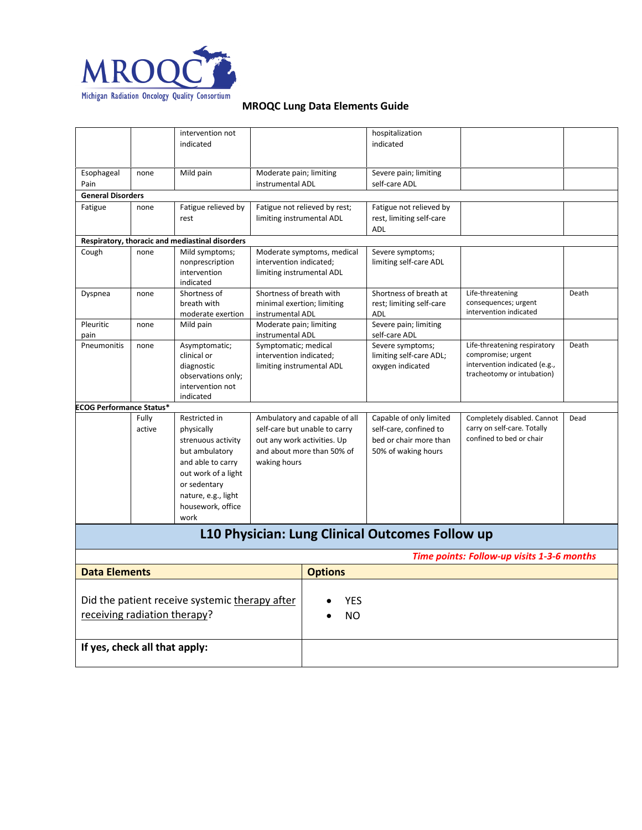

|                                                |        | intervention not                                |                                                                | hospitalization                                   |                                            |       |
|------------------------------------------------|--------|-------------------------------------------------|----------------------------------------------------------------|---------------------------------------------------|--------------------------------------------|-------|
|                                                |        | indicated                                       |                                                                | indicated                                         |                                            |       |
|                                                |        |                                                 |                                                                |                                                   |                                            |       |
| Esophageal                                     | none   | Mild pain                                       | Moderate pain; limiting                                        | Severe pain; limiting                             |                                            |       |
| Pain                                           |        |                                                 | instrumental ADL                                               | self-care ADL                                     |                                            |       |
| <b>General Disorders</b>                       |        |                                                 |                                                                |                                                   |                                            |       |
| Fatigue                                        | none   | Fatigue relieved by                             | Fatigue not relieved by rest;                                  | Fatigue not relieved by                           |                                            |       |
|                                                |        | rest                                            | limiting instrumental ADL                                      | rest, limiting self-care                          |                                            |       |
|                                                |        |                                                 |                                                                | ADL                                               |                                            |       |
|                                                |        | Respiratory, thoracic and mediastinal disorders |                                                                |                                                   |                                            |       |
| Cough                                          | none   | Mild symptoms;                                  | Moderate symptoms, medical<br>intervention indicated;          | Severe symptoms;<br>limiting self-care ADL        |                                            |       |
|                                                |        | nonprescription<br>intervention                 | limiting instrumental ADL                                      |                                                   |                                            |       |
|                                                |        | indicated                                       |                                                                |                                                   |                                            |       |
| Dyspnea                                        | none   | Shortness of                                    | Shortness of breath with                                       | Shortness of breath at                            | Life-threatening                           | Death |
|                                                |        | breath with                                     | minimal exertion; limiting                                     | rest; limiting self-care                          | consequences; urgent                       |       |
|                                                |        | moderate exertion                               | instrumental ADL                                               | ADL                                               | intervention indicated                     |       |
| Pleuritic<br>pain                              | none   | Mild pain                                       | Moderate pain; limiting<br>instrumental ADL                    | Severe pain; limiting<br>self-care ADL            |                                            |       |
| Pneumonitis                                    | none   | Asymptomatic;                                   | Symptomatic; medical                                           | Severe symptoms;                                  | Life-threatening respiratory               | Death |
|                                                |        | clinical or                                     | intervention indicated;                                        | limiting self-care ADL;                           | compromise; urgent                         |       |
|                                                |        | diagnostic                                      | limiting instrumental ADL                                      | oxygen indicated                                  | intervention indicated (e.g.,              |       |
|                                                |        | observations only;                              |                                                                |                                                   | tracheotomy or intubation)                 |       |
|                                                |        | intervention not                                |                                                                |                                                   |                                            |       |
|                                                |        | indicated                                       |                                                                |                                                   |                                            |       |
| <b>ECOG Performance Status*</b>                | Fully  | Restricted in                                   |                                                                |                                                   | Completely disabled. Cannot                | Dead  |
|                                                | active |                                                 | Ambulatory and capable of all<br>self-care but unable to carry | Capable of only limited<br>self-care, confined to | carry on self-care. Totally                |       |
|                                                |        | physically<br>strenuous activity                | out any work activities. Up                                    | bed or chair more than                            | confined to bed or chair                   |       |
|                                                |        | but ambulatory                                  | and about more than 50% of                                     | 50% of waking hours                               |                                            |       |
|                                                |        | and able to carry                               | waking hours                                                   |                                                   |                                            |       |
|                                                |        | out work of a light                             |                                                                |                                                   |                                            |       |
|                                                |        | or sedentary                                    |                                                                |                                                   |                                            |       |
|                                                |        | nature, e.g., light                             |                                                                |                                                   |                                            |       |
|                                                |        | housework, office                               |                                                                |                                                   |                                            |       |
|                                                |        | work                                            |                                                                |                                                   |                                            |       |
|                                                |        |                                                 |                                                                | L10 Physician: Lung Clinical Outcomes Follow up   |                                            |       |
|                                                |        |                                                 |                                                                |                                                   | Time points: Follow-up visits 1-3-6 months |       |
| <b>Data Elements</b>                           |        |                                                 | <b>Options</b>                                                 |                                                   |                                            |       |
|                                                |        |                                                 |                                                                |                                                   |                                            |       |
|                                                |        |                                                 |                                                                |                                                   |                                            |       |
| Did the patient receive systemic therapy after |        |                                                 |                                                                | YES                                               |                                            |       |
| receiving radiation therapy?                   |        |                                                 | <b>NO</b>                                                      |                                                   |                                            |       |
|                                                |        |                                                 |                                                                |                                                   |                                            |       |
| If yes, check all that apply:                  |        |                                                 |                                                                |                                                   |                                            |       |
|                                                |        |                                                 |                                                                |                                                   |                                            |       |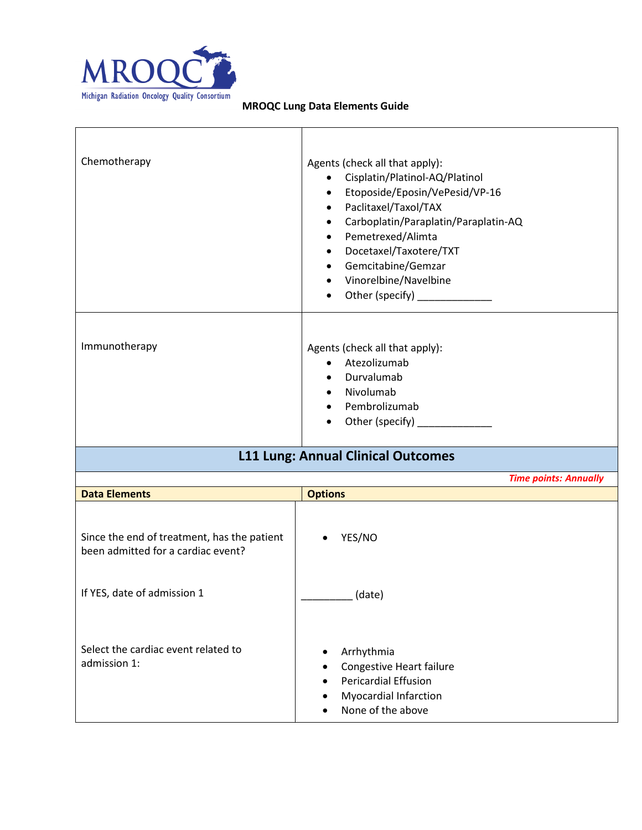

| Chemotherapy                                                                      | Agents (check all that apply):<br>Cisplatin/Platinol-AQ/Platinol<br>$\bullet$<br>Etoposide/Eposin/VePesid/VP-16<br>$\bullet$<br>Paclitaxel/Taxol/TAX<br>$\bullet$<br>Carboplatin/Paraplatin/Paraplatin-AQ<br>$\bullet$<br>Pemetrexed/Alimta<br>$\bullet$<br>Docetaxel/Taxotere/TXT<br>$\bullet$<br>Gemcitabine/Gemzar<br>$\bullet$<br>Vinorelbine/Navelbine<br>$\bullet$<br>Other (specify) _____________ |
|-----------------------------------------------------------------------------------|-----------------------------------------------------------------------------------------------------------------------------------------------------------------------------------------------------------------------------------------------------------------------------------------------------------------------------------------------------------------------------------------------------------|
| Immunotherapy                                                                     | Agents (check all that apply):<br>Atezolizumab<br>$\bullet$<br>Durvalumab<br>Nivolumab<br>$\bullet$<br>Pembrolizumab<br>$\bullet$<br>Other (specify) _______________                                                                                                                                                                                                                                      |
|                                                                                   | <b>L11 Lung: Annual Clinical Outcomes</b>                                                                                                                                                                                                                                                                                                                                                                 |
|                                                                                   | <b>Time points: Annually</b>                                                                                                                                                                                                                                                                                                                                                                              |
| <b>Data Elements</b>                                                              | <b>Options</b>                                                                                                                                                                                                                                                                                                                                                                                            |
| Since the end of treatment, has the patient<br>been admitted for a cardiac event? | YES/NO                                                                                                                                                                                                                                                                                                                                                                                                    |
| If YES, date of admission 1                                                       | $_$ (date)                                                                                                                                                                                                                                                                                                                                                                                                |
| Select the cardiac event related to<br>admission 1:                               | Arrhythmia<br>٠<br>Congestive Heart failure<br><b>Pericardial Effusion</b><br><b>Myocardial Infarction</b><br>None of the above                                                                                                                                                                                                                                                                           |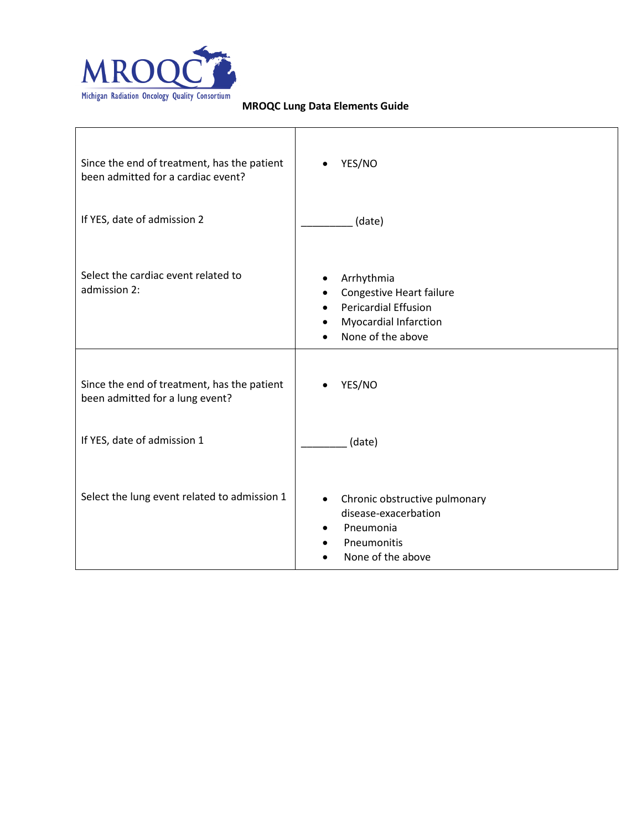

| Since the end of treatment, has the patient<br>been admitted for a cardiac event? | YES/NO                                                                                                                     |
|-----------------------------------------------------------------------------------|----------------------------------------------------------------------------------------------------------------------------|
| If YES, date of admission 2                                                       | (date)                                                                                                                     |
| Select the cardiac event related to<br>admission 2:                               | Arrhythmia<br>Congestive Heart failure<br><b>Pericardial Effusion</b><br><b>Myocardial Infarction</b><br>None of the above |
| Since the end of treatment, has the patient<br>been admitted for a lung event?    | YES/NO                                                                                                                     |
| If YES, date of admission 1                                                       | (date)                                                                                                                     |
| Select the lung event related to admission 1                                      | Chronic obstructive pulmonary<br>disease-exacerbation<br>Pneumonia<br>Pneumonitis<br>None of the above                     |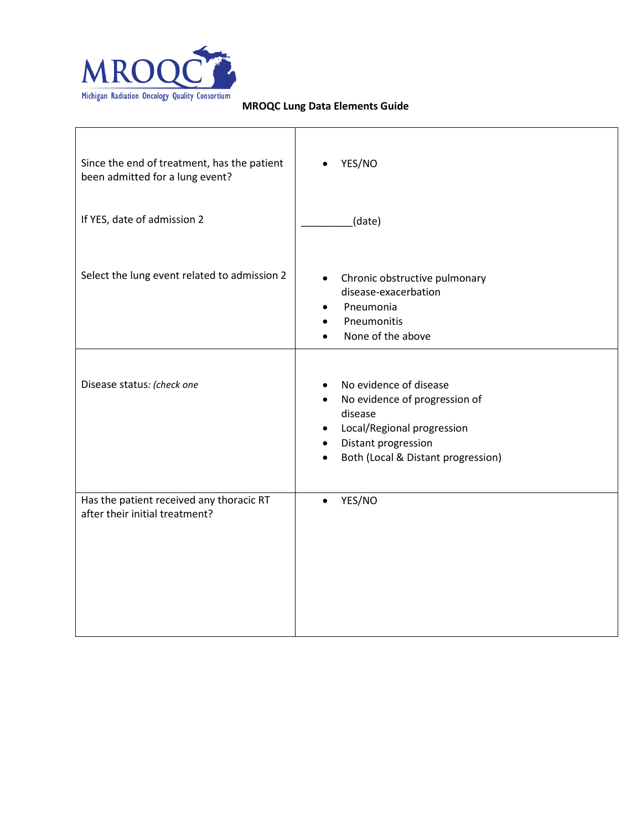

| Since the end of treatment, has the patient<br>been admitted for a lung event? | YES/NO                                                                                                                                                                          |
|--------------------------------------------------------------------------------|---------------------------------------------------------------------------------------------------------------------------------------------------------------------------------|
| If YES, date of admission 2                                                    | (date)                                                                                                                                                                          |
| Select the lung event related to admission 2                                   | Chronic obstructive pulmonary<br>$\bullet$<br>disease-exacerbation<br>Pneumonia<br>Pneumonitis<br>None of the above                                                             |
| Disease status: (check one                                                     | No evidence of disease<br>No evidence of progression of<br>disease<br>Local/Regional progression<br>٠<br>Distant progression<br>Both (Local & Distant progression)<br>$\bullet$ |
| Has the patient received any thoracic RT<br>after their initial treatment?     | YES/NO<br>$\bullet$                                                                                                                                                             |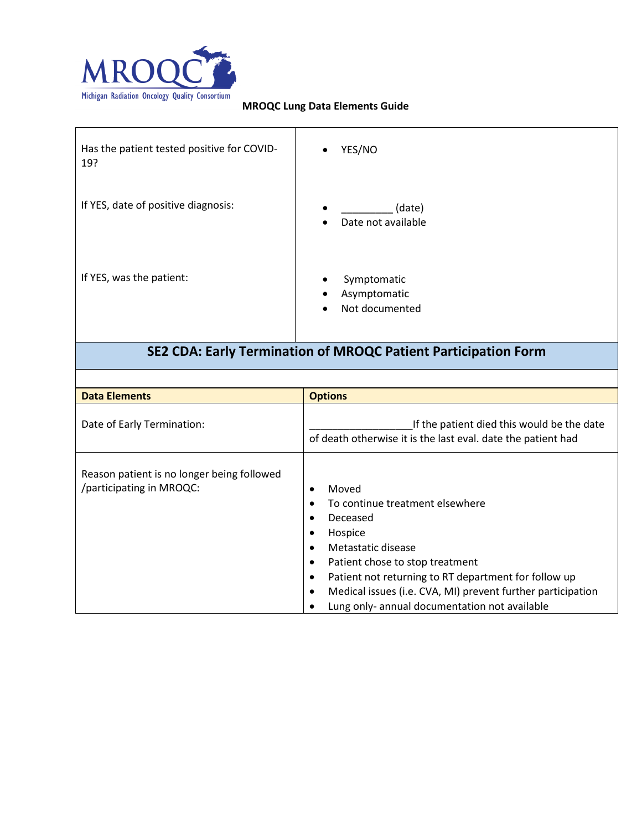

| Has the patient tested positive for COVID-<br>19? | YES/NO                                                     |
|---------------------------------------------------|------------------------------------------------------------|
| If YES, date of positive diagnosis:               | (date)<br>$\bullet$<br>Date not available                  |
| If YES, was the patient:                          | Symptomatic<br>Asymptomatic<br>Not documented<br>$\bullet$ |

# **SE2 CDA: Early Termination of MROQC Patient Participation Form**

| <b>Data Elements</b>                                                   | <b>Options</b>                                                                                                                                                                                                                                                                                                                                                                                                        |
|------------------------------------------------------------------------|-----------------------------------------------------------------------------------------------------------------------------------------------------------------------------------------------------------------------------------------------------------------------------------------------------------------------------------------------------------------------------------------------------------------------|
| Date of Early Termination:                                             | If the patient died this would be the date<br>of death otherwise it is the last eval. date the patient had                                                                                                                                                                                                                                                                                                            |
| Reason patient is no longer being followed<br>/participating in MROQC: | Moved<br>$\bullet$<br>To continue treatment elsewhere<br>$\bullet$<br>Deceased<br>$\bullet$<br>Hospice<br>$\bullet$<br>Metastatic disease<br>$\bullet$<br>Patient chose to stop treatment<br>$\bullet$<br>Patient not returning to RT department for follow up<br>$\bullet$<br>Medical issues (i.e. CVA, MI) prevent further participation<br>$\bullet$<br>Lung only- annual documentation not available<br>$\bullet$ |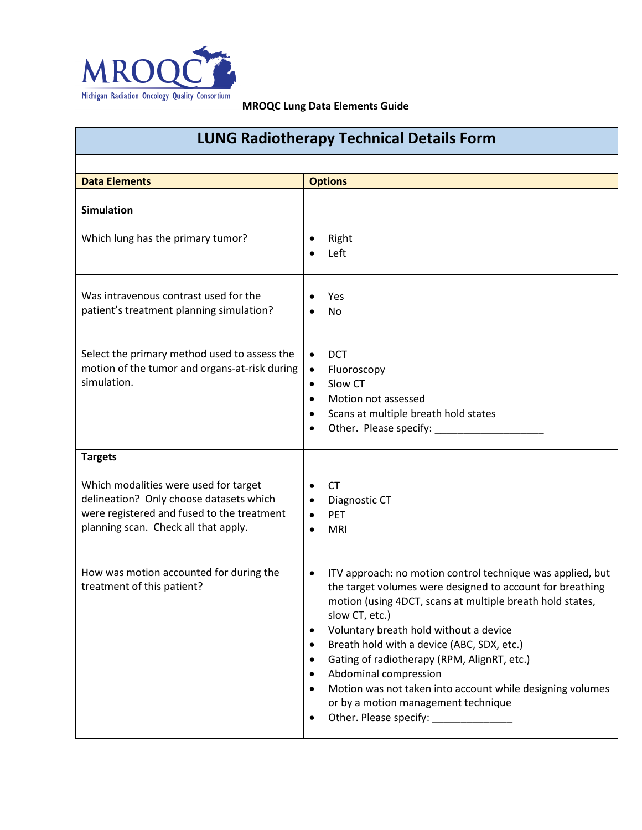

| <b>LUNG Radiotherapy Technical Details Form</b>                                                                                                                        |                                                                                                                                                                                                                                                                                                                                                                                                                                                                                                                                                          |  |
|------------------------------------------------------------------------------------------------------------------------------------------------------------------------|----------------------------------------------------------------------------------------------------------------------------------------------------------------------------------------------------------------------------------------------------------------------------------------------------------------------------------------------------------------------------------------------------------------------------------------------------------------------------------------------------------------------------------------------------------|--|
|                                                                                                                                                                        |                                                                                                                                                                                                                                                                                                                                                                                                                                                                                                                                                          |  |
| <b>Data Elements</b>                                                                                                                                                   | <b>Options</b>                                                                                                                                                                                                                                                                                                                                                                                                                                                                                                                                           |  |
| <b>Simulation</b><br>Which lung has the primary tumor?                                                                                                                 | Right<br>Left<br>$\bullet$                                                                                                                                                                                                                                                                                                                                                                                                                                                                                                                               |  |
| Was intravenous contrast used for the<br>patient's treatment planning simulation?                                                                                      | Yes<br><b>No</b>                                                                                                                                                                                                                                                                                                                                                                                                                                                                                                                                         |  |
| Select the primary method used to assess the<br>motion of the tumor and organs-at-risk during<br>simulation.                                                           | <b>DCT</b><br>$\bullet$<br>Fluoroscopy<br>$\bullet$<br>Slow CT<br>$\bullet$<br>Motion not assessed<br>$\bullet$<br>Scans at multiple breath hold states<br>$\bullet$<br>Other. Please specify:<br>$\bullet$                                                                                                                                                                                                                                                                                                                                              |  |
| <b>Targets</b>                                                                                                                                                         |                                                                                                                                                                                                                                                                                                                                                                                                                                                                                                                                                          |  |
| Which modalities were used for target<br>delineation? Only choose datasets which<br>were registered and fused to the treatment<br>planning scan. Check all that apply. | <b>CT</b><br>$\bullet$<br>Diagnostic CT<br>$\bullet$<br>PET<br>$\bullet$<br><b>MRI</b><br>$\bullet$                                                                                                                                                                                                                                                                                                                                                                                                                                                      |  |
| How was motion accounted for during the<br>treatment of this patient?                                                                                                  | ITV approach: no motion control technique was applied, but<br>$\bullet$<br>the target volumes were designed to account for breathing<br>motion (using 4DCT, scans at multiple breath hold states,<br>slow CT, etc.)<br>Voluntary breath hold without a device<br>$\bullet$<br>Breath hold with a device (ABC, SDX, etc.)<br>$\bullet$<br>Gating of radiotherapy (RPM, AlignRT, etc.)<br>$\bullet$<br>Abdominal compression<br>$\bullet$<br>Motion was not taken into account while designing volumes<br>or by a motion management technique<br>$\bullet$ |  |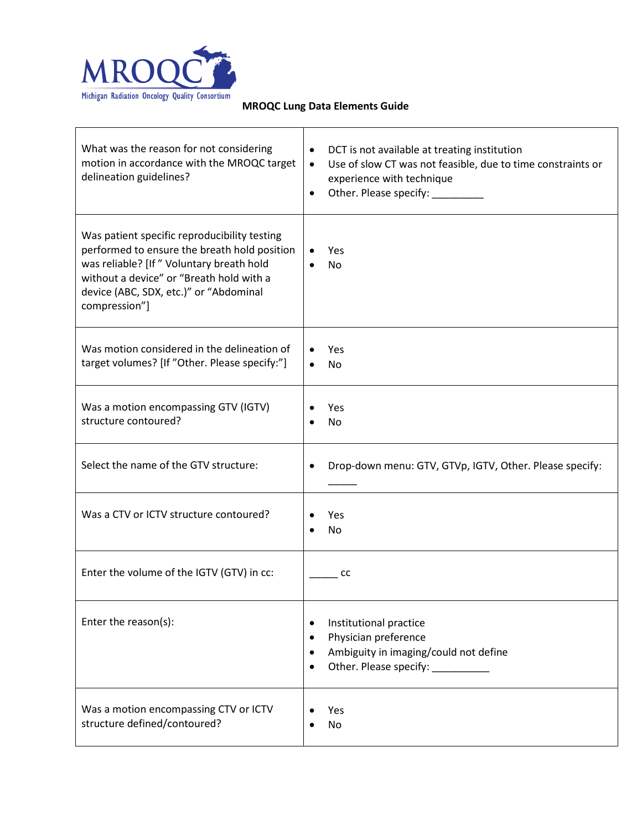

r

| What was the reason for not considering<br>motion in accordance with the MROQC target<br>delineation guidelines?                                                                                                                                 | DCT is not available at treating institution<br>$\bullet$<br>Use of slow CT was not feasible, due to time constraints or<br>$\bullet$<br>experience with technique<br>Other. Please specify:<br>$\bullet$ |
|--------------------------------------------------------------------------------------------------------------------------------------------------------------------------------------------------------------------------------------------------|-----------------------------------------------------------------------------------------------------------------------------------------------------------------------------------------------------------|
| Was patient specific reproducibility testing<br>performed to ensure the breath hold position<br>was reliable? [If " Voluntary breath hold<br>without a device" or "Breath hold with a<br>device (ABC, SDX, etc.)" or "Abdominal<br>compression"] | Yes<br>$\bullet$<br>No                                                                                                                                                                                    |
| Was motion considered in the delineation of<br>target volumes? [If "Other. Please specify:"]                                                                                                                                                     | Yes<br>$\bullet$<br>No<br>$\bullet$                                                                                                                                                                       |
| Was a motion encompassing GTV (IGTV)<br>structure contoured?                                                                                                                                                                                     | Yes<br>No                                                                                                                                                                                                 |
| Select the name of the GTV structure:                                                                                                                                                                                                            | Drop-down menu: GTV, GTVp, IGTV, Other. Please specify:<br>$\bullet$                                                                                                                                      |
| Was a CTV or ICTV structure contoured?                                                                                                                                                                                                           | Yes<br>No                                                                                                                                                                                                 |
| Enter the volume of the IGTV (GTV) in cc:                                                                                                                                                                                                        | cc                                                                                                                                                                                                        |
| Enter the reason(s):                                                                                                                                                                                                                             | Institutional practice<br>$\bullet$<br>Physician preference<br>$\bullet$<br>Ambiguity in imaging/could not define<br>$\bullet$<br>$\bullet$                                                               |
| Was a motion encompassing CTV or ICTV<br>structure defined/contoured?                                                                                                                                                                            | Yes<br>No                                                                                                                                                                                                 |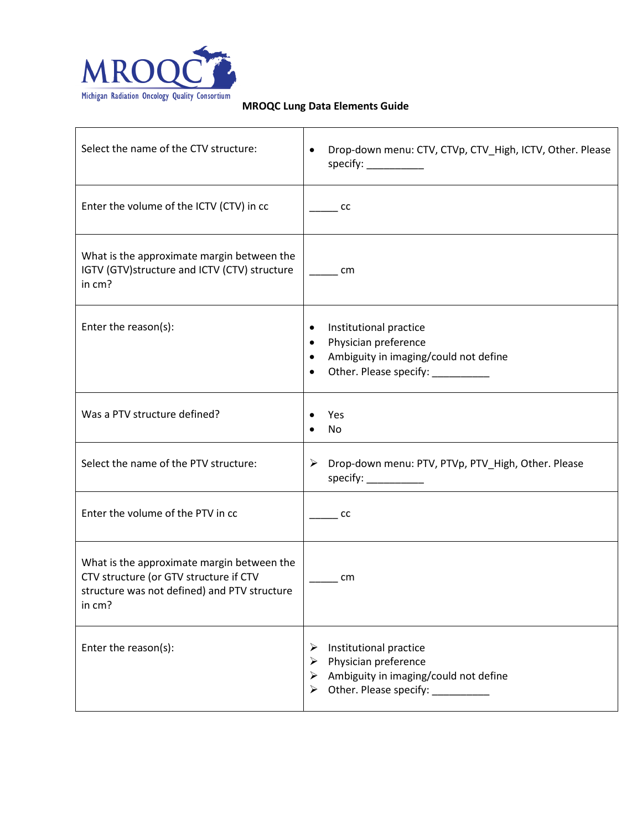

| Select the name of the CTV structure:                                                                                                          | Drop-down menu: CTV, CTVp, CTV_High, ICTV, Other. Please<br>٠<br>specify: $\frac{1}{2}$                                                                                   |
|------------------------------------------------------------------------------------------------------------------------------------------------|---------------------------------------------------------------------------------------------------------------------------------------------------------------------------|
| Enter the volume of the ICTV (CTV) in cc                                                                                                       | cc                                                                                                                                                                        |
| What is the approximate margin between the<br>IGTV (GTV)structure and ICTV (CTV) structure<br>in cm?                                           | cm                                                                                                                                                                        |
| Enter the reason(s):                                                                                                                           | Institutional practice<br>٠<br>Physician preference<br>$\bullet$<br>Ambiguity in imaging/could not define<br>$\bullet$<br>Other. Please specify: ___________<br>$\bullet$ |
| Was a PTV structure defined?                                                                                                                   | Yes<br>No                                                                                                                                                                 |
| Select the name of the PTV structure:                                                                                                          | > Drop-down menu: PTV, PTVp, PTV_High, Other. Please<br>specify: $\frac{1}{2}$                                                                                            |
| Enter the volume of the PTV in cc                                                                                                              | cc                                                                                                                                                                        |
| What is the approximate margin between the<br>CTV structure (or GTV structure if CTV<br>structure was not defined) and PTV structure<br>in cm? | cm                                                                                                                                                                        |
| Enter the reason(s):                                                                                                                           | Institutional practice<br>➤<br>Physician preference<br>➤<br>Ambiguity in imaging/could not define<br>➤<br>Other. Please specify: __________<br>➤                          |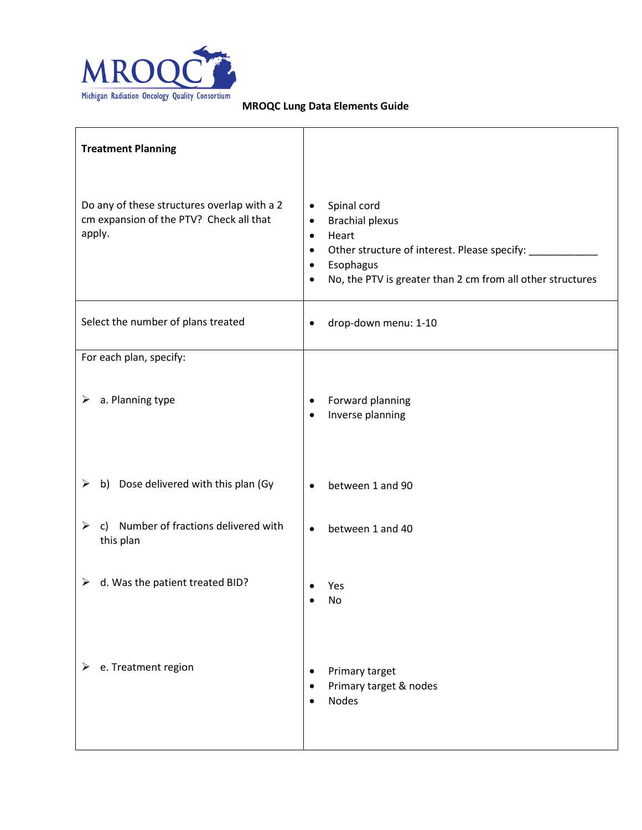

| <b>Treatment Planning</b>                                                                        |                                                                                                                                                                                                                                                           |
|--------------------------------------------------------------------------------------------------|-----------------------------------------------------------------------------------------------------------------------------------------------------------------------------------------------------------------------------------------------------------|
| Do any of these structures overlap with a 2<br>cm expansion of the PTV? Check all that<br>apply. | Spinal cord<br>$\bullet$<br><b>Brachial plexus</b><br>$\bullet$<br>Heart<br>$\bullet$<br>Other structure of interest. Please specify: _<br>$\bullet$<br>Esophagus<br>$\bullet$<br>No, the PTV is greater than 2 cm from all other structures<br>$\bullet$ |
| Select the number of plans treated                                                               | drop-down menu: 1-10<br>$\bullet$                                                                                                                                                                                                                         |
| For each plan, specify:                                                                          |                                                                                                                                                                                                                                                           |
| $\triangleright$ a. Planning type                                                                | Forward planning<br>$\bullet$<br>Inverse planning<br>$\bullet$                                                                                                                                                                                            |
| b) Dose delivered with this plan (Gy<br>➤                                                        | between 1 and 90<br>$\bullet$                                                                                                                                                                                                                             |
| c) Number of fractions delivered with<br>➤<br>this plan                                          | between 1 and 40<br>$\bullet$                                                                                                                                                                                                                             |
| $\triangleright$ d. Was the patient treated BID?                                                 | Yes<br>No                                                                                                                                                                                                                                                 |
| e. Treatment region<br>➤                                                                         | Primary target<br>$\bullet$<br>Primary target & nodes<br>$\bullet$<br><b>Nodes</b><br>$\bullet$                                                                                                                                                           |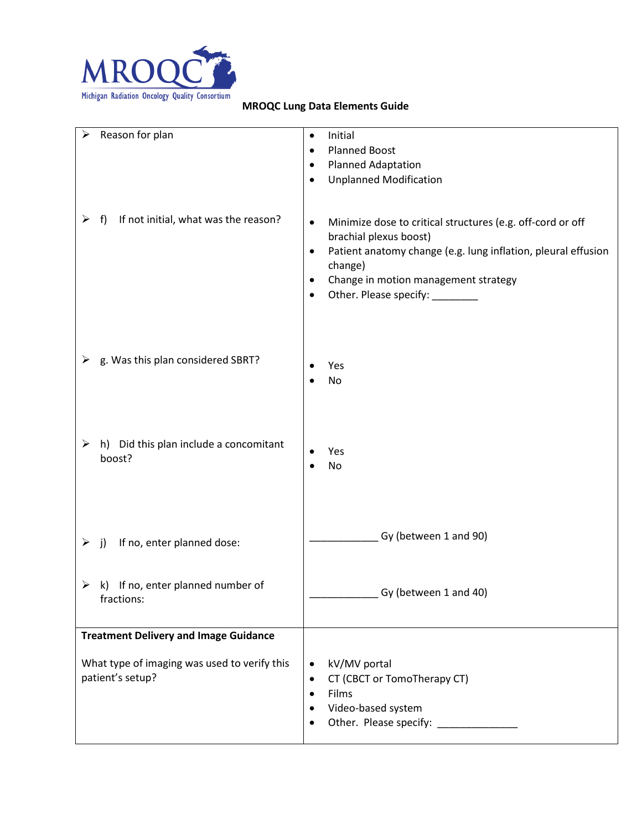

| Reason for plan<br>➤                            | Initial<br>$\bullet$                                                       |
|-------------------------------------------------|----------------------------------------------------------------------------|
|                                                 | <b>Planned Boost</b><br>$\bullet$                                          |
|                                                 | <b>Planned Adaptation</b><br>٠                                             |
|                                                 |                                                                            |
|                                                 | <b>Unplanned Modification</b><br>$\bullet$                                 |
|                                                 |                                                                            |
| If not initial, what was the reason?<br>➤<br>f) | Minimize dose to critical structures (e.g. off-cord or off<br>$\bullet$    |
|                                                 | brachial plexus boost)                                                     |
|                                                 | Patient anatomy change (e.g. lung inflation, pleural effusion<br>$\bullet$ |
|                                                 | change)                                                                    |
|                                                 | Change in motion management strategy<br>٠                                  |
|                                                 | Other. Please specify: _________<br>$\bullet$                              |
|                                                 |                                                                            |
|                                                 |                                                                            |
|                                                 |                                                                            |
|                                                 |                                                                            |
| g. Was this plan considered SBRT?<br>≻          | Yes                                                                        |
|                                                 | No                                                                         |
|                                                 |                                                                            |
|                                                 |                                                                            |
|                                                 |                                                                            |
| h) Did this plan include a concomitant<br>➤     |                                                                            |
| boost?                                          | Yes                                                                        |
|                                                 | No                                                                         |
|                                                 |                                                                            |
|                                                 |                                                                            |
|                                                 |                                                                            |
|                                                 | Gy (between 1 and 90)                                                      |
| If no, enter planned dose:<br>➤<br>j)           |                                                                            |
|                                                 |                                                                            |
|                                                 |                                                                            |
| k) If no, enter planned number of<br>➤          | Gy (between 1 and 40)                                                      |
| fractions:                                      |                                                                            |
|                                                 |                                                                            |
| <b>Treatment Delivery and Image Guidance</b>    |                                                                            |
|                                                 |                                                                            |
| What type of imaging was used to verify this    | kV/MV portal<br>٠                                                          |
| patient's setup?                                | CT (CBCT or TomoTherapy CT)<br>$\bullet$                                   |
|                                                 | Films<br>$\bullet$                                                         |
|                                                 | Video-based system                                                         |
|                                                 |                                                                            |
|                                                 |                                                                            |